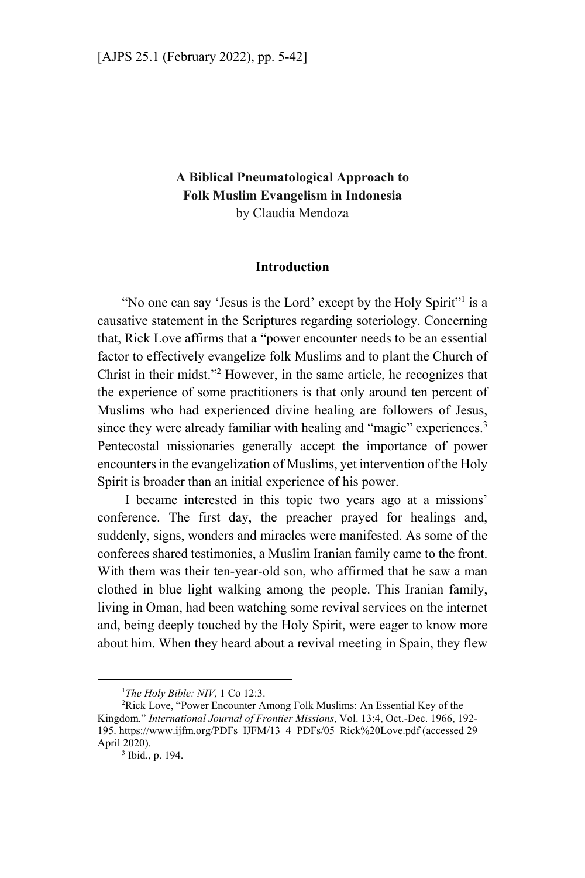# **A Biblical Pneumatological Approach to Folk Muslim Evangelism in Indonesia**  by Claudia Mendoza

### **Introduction**

"No one can say 'Jesus is the Lord' except by the Holy Spirit"<sup>1</sup> is a causative statement in the Scriptures regarding soteriology. Concerning that, Rick Love affirms that a "power encounter needs to be an essential factor to effectively evangelize folk Muslims and to plant the Church of Christ in their midst."2 However, in the same article, he recognizes that the experience of some practitioners is that only around ten percent of Muslims who had experienced divine healing are followers of Jesus, since they were already familiar with healing and "magic" experiences.<sup>3</sup> Pentecostal missionaries generally accept the importance of power encounters in the evangelization of Muslims, yet intervention of the Holy Spirit is broader than an initial experience of his power.

 I became interested in this topic two years ago at a missions' conference. The first day, the preacher prayed for healings and, suddenly, signs, wonders and miracles were manifested. As some of the conferees shared testimonies, a Muslim Iranian family came to the front. With them was their ten-year-old son, who affirmed that he saw a man clothed in blue light walking among the people. This Iranian family, living in Oman, had been watching some revival services on the internet and, being deeply touched by the Holy Spirit, were eager to know more about him. When they heard about a revival meeting in Spain, they flew

 $\frac{1}{1}$ <sup>1</sup>The Holy Bible: NIV, 1 Co 12:3.

<sup>&</sup>lt;sup>2</sup>Rick Love, "Power Encounter Among Folk Muslims: An Essential Key of the Kingdom." *International Journal of Frontier Missions*, Vol. 13:4, Oct.-Dec. 1966, 192- 195. https://www.ijfm.org/PDFs\_IJFM/13\_4\_PDFs/05\_Rick%20Love.pdf (accessed 29 April 2020).

<sup>&</sup>lt;sup>3</sup> Ibid., p. 194.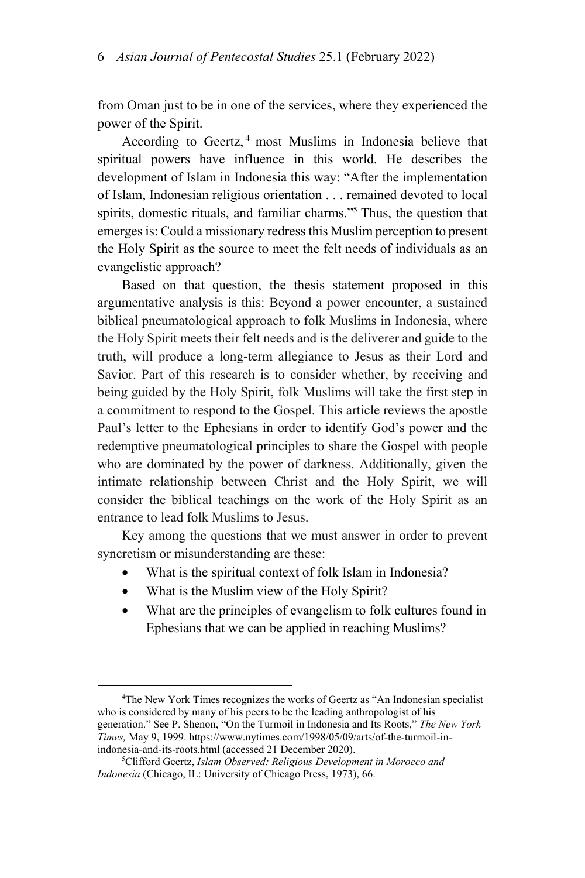from Oman just to be in one of the services, where they experienced the power of the Spirit.

According to Geertz, 4 most Muslims in Indonesia believe that spiritual powers have influence in this world. He describes the development of Islam in Indonesia this way: "After the implementation of Islam, Indonesian religious orientation . . . remained devoted to local spirits, domestic rituals, and familiar charms."5 Thus, the question that emerges is: Could a missionary redress this Muslim perception to present the Holy Spirit as the source to meet the felt needs of individuals as an evangelistic approach?

Based on that question, the thesis statement proposed in this argumentative analysis is this: Beyond a power encounter, a sustained biblical pneumatological approach to folk Muslims in Indonesia, where the Holy Spirit meets their felt needs and is the deliverer and guide to the truth, will produce a long-term allegiance to Jesus as their Lord and Savior. Part of this research is to consider whether, by receiving and being guided by the Holy Spirit, folk Muslims will take the first step in a commitment to respond to the Gospel. This article reviews the apostle Paul's letter to the Ephesians in order to identify God's power and the redemptive pneumatological principles to share the Gospel with people who are dominated by the power of darkness. Additionally, given the intimate relationship between Christ and the Holy Spirit, we will consider the biblical teachings on the work of the Holy Spirit as an entrance to lead folk Muslims to Jesus.

Key among the questions that we must answer in order to prevent syncretism or misunderstanding are these:

- What is the spiritual context of folk Islam in Indonesia?
- What is the Muslim view of the Holy Spirit?
- What are the principles of evangelism to folk cultures found in Ephesians that we can be applied in reaching Muslims?

 $\overline{a}$ <sup>4</sup>The New York Times recognizes the works of Geertz as "An Indonesian specialist who is considered by many of his peers to be the leading anthropologist of his generation." See P. Shenon, "On the Turmoil in Indonesia and Its Roots," *The New York Times,* May 9, 1999. https://www.nytimes.com/1998/05/09/arts/of-the-turmoil-inindonesia-and-its-roots.html (accessed 21 December 2020).

Clifford Geertz, *Islam Observed: Religious Development in Morocco and Indonesia* (Chicago, IL: University of Chicago Press, 1973), 66.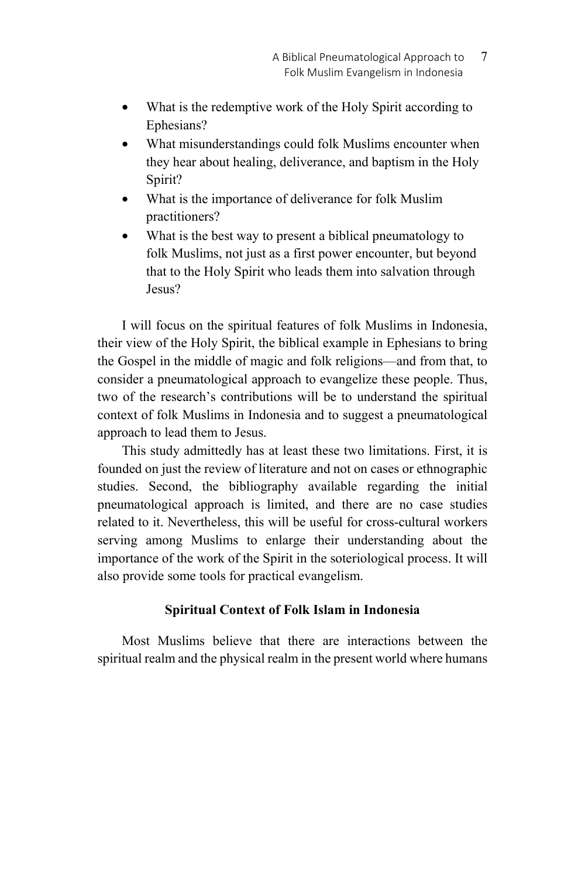- What is the redemptive work of the Holy Spirit according to Ephesians?
- What misunderstandings could folk Muslims encounter when they hear about healing, deliverance, and baptism in the Holy Spirit?
- What is the importance of deliverance for folk Muslim practitioners?
- What is the best way to present a biblical pneumatology to folk Muslims, not just as a first power encounter, but beyond that to the Holy Spirit who leads them into salvation through Jesus?

I will focus on the spiritual features of folk Muslims in Indonesia, their view of the Holy Spirit, the biblical example in Ephesians to bring the Gospel in the middle of magic and folk religions—and from that, to consider a pneumatological approach to evangelize these people. Thus, two of the research's contributions will be to understand the spiritual context of folk Muslims in Indonesia and to suggest a pneumatological approach to lead them to Jesus.

This study admittedly has at least these two limitations. First, it is founded on just the review of literature and not on cases or ethnographic studies. Second, the bibliography available regarding the initial pneumatological approach is limited, and there are no case studies related to it. Nevertheless, this will be useful for cross-cultural workers serving among Muslims to enlarge their understanding about the importance of the work of the Spirit in the soteriological process. It will also provide some tools for practical evangelism.

## **Spiritual Context of Folk Islam in Indonesia**

Most Muslims believe that there are interactions between the spiritual realm and the physical realm in the present world where humans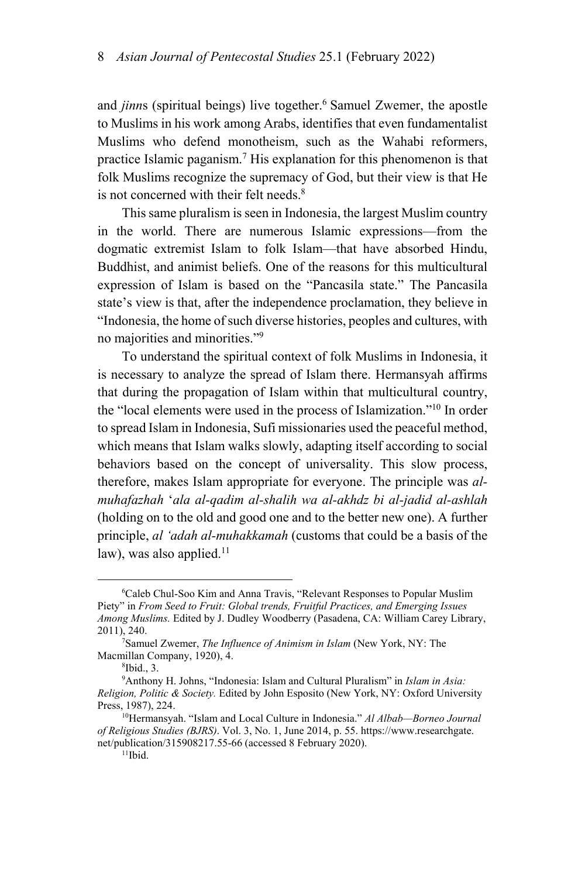and *jinns* (spiritual beings) live together.<sup>6</sup> Samuel Zwemer, the apostle to Muslims in his work among Arabs, identifies that even fundamentalist Muslims who defend monotheism, such as the Wahabi reformers, practice Islamic paganism.<sup>7</sup> His explanation for this phenomenon is that folk Muslims recognize the supremacy of God, but their view is that He is not concerned with their felt needs.<sup>8</sup>

This same pluralism is seen in Indonesia, the largest Muslim country in the world. There are numerous Islamic expressions—from the dogmatic extremist Islam to folk Islam—that have absorbed Hindu, Buddhist, and animist beliefs. One of the reasons for this multicultural expression of Islam is based on the "Pancasila state." The Pancasila state's view is that, after the independence proclamation, they believe in "Indonesia, the home of such diverse histories, peoples and cultures, with no majorities and minorities."9

To understand the spiritual context of folk Muslims in Indonesia, it is necessary to analyze the spread of Islam there. Hermansyah affirms that during the propagation of Islam within that multicultural country, the "local elements were used in the process of Islamization."10 In order to spread Islam in Indonesia, Sufi missionaries used the peaceful method, which means that Islam walks slowly, adapting itself according to social behaviors based on the concept of universality. This slow process, therefore, makes Islam appropriate for everyone. The principle was *almuhafazhah* '*ala al-qadim al-shalih wa al-akhdz bi al-jadid al-ashlah* (holding on to the old and good one and to the better new one). A further principle, *al 'adah al-muhakkamah* (customs that could be a basis of the law), was also applied.<sup>11</sup>

 $\overline{\phantom{0}}$ Caleb Chul-Soo Kim and Anna Travis, "Relevant Responses to Popular Muslim Piety" in *From Seed to Fruit: Global trends, Fruitful Practices, and Emerging Issues Among Muslims.* Edited by J. Dudley Woodberry (Pasadena, CA: William Carey Library, 2011), 240. 7

Samuel Zwemer, *The Influence of Animism in Islam* (New York, NY: The Macmillan Company, 1920), 4.

 $8$ Ibid., 3.

<sup>9</sup> Anthony H. Johns, "Indonesia: Islam and Cultural Pluralism" in *Islam in Asia: Religion, Politic & Society.* Edited by John Esposito (New York, NY: Oxford University Press, 1987), 224.<br><sup>10</sup>Hermansyah. "Islam and Local Culture in Indonesia." *Al Albab—Borneo Journal* 

*of Religious Studies (BJRS)*. Vol. 3, No. 1, June 2014, p. 55. https://www.researchgate. net/publication/315908217.55-66 (accessed 8 February 2020).<br><sup>11</sup>Ibid.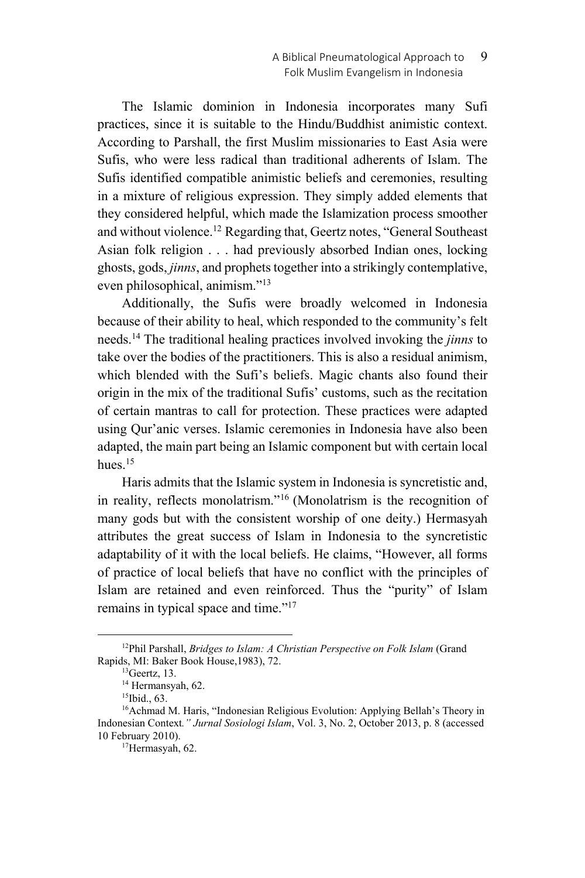The Islamic dominion in Indonesia incorporates many Sufi practices, since it is suitable to the Hindu/Buddhist animistic context. According to Parshall, the first Muslim missionaries to East Asia were Sufis, who were less radical than traditional adherents of Islam. The Sufis identified compatible animistic beliefs and ceremonies, resulting in a mixture of religious expression. They simply added elements that they considered helpful, which made the Islamization process smoother and without violence.12 Regarding that, Geertz notes, "General Southeast Asian folk religion . . . had previously absorbed Indian ones, locking ghosts, gods, *jinns*, and prophets together into a strikingly contemplative, even philosophical, animism."13

Additionally, the Sufis were broadly welcomed in Indonesia because of their ability to heal, which responded to the community's felt needs.14 The traditional healing practices involved invoking the *jinns* to take over the bodies of the practitioners. This is also a residual animism, which blended with the Sufi's beliefs. Magic chants also found their origin in the mix of the traditional Sufis' customs, such as the recitation of certain mantras to call for protection. These practices were adapted using Qur'anic verses. Islamic ceremonies in Indonesia have also been adapted, the main part being an Islamic component but with certain local hues.<sup>15</sup>

Haris admits that the Islamic system in Indonesia is syncretistic and, in reality, reflects monolatrism."16 (Monolatrism is the recognition of many gods but with the consistent worship of one deity.) Hermasyah attributes the great success of Islam in Indonesia to the syncretistic adaptability of it with the local beliefs. He claims, "However, all forms of practice of local beliefs that have no conflict with the principles of Islam are retained and even reinforced. Thus the "purity" of Islam remains in typical space and time."17

 <sup>12</sup>Phil Parshall, *Bridges to Islam: A Christian Perspective on Folk Islam* (Grand Rapids, MI: Baker Book House, 1983), 72.<br><sup>13</sup>Geertz, 13.

<sup>&</sup>lt;sup>14</sup> Hermansyah, 62.

<sup>15</sup>Ibid., 63.

<sup>&</sup>lt;sup>16</sup>Achmad M. Haris, "Indonesian Religious Evolution: Applying Bellah's Theory in Indonesian Context*." Jurnal Sosiologi Islam*, Vol. 3, No. 2, October 2013, p. 8 (accessed 10 February 2010).<br><sup>17</sup>Hermasyah, 62.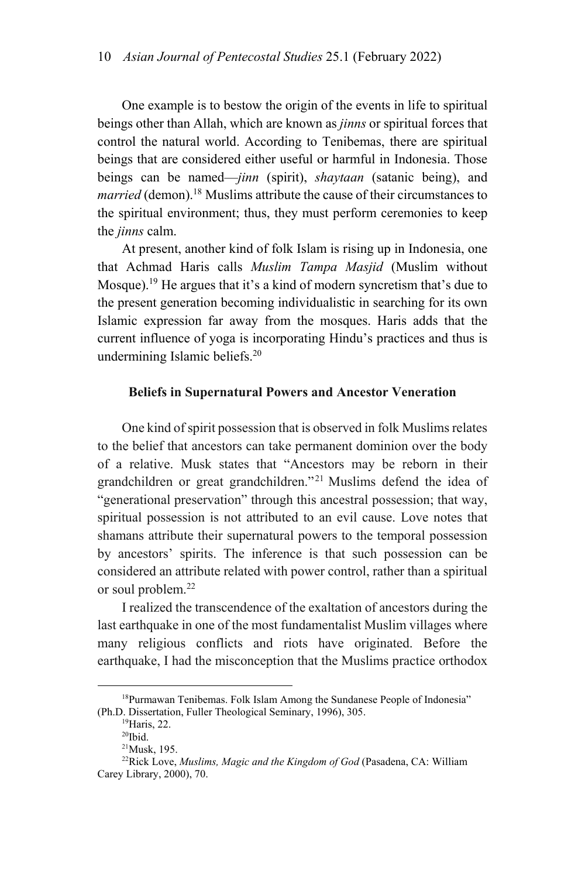One example is to bestow the origin of the events in life to spiritual beings other than Allah, which are known as *jinns* or spiritual forces that control the natural world. According to Tenibemas, there are spiritual beings that are considered either useful or harmful in Indonesia. Those beings can be named—*jinn* (spirit), *shaytaan* (satanic being), and *married* (demon).<sup>18</sup> Muslims attribute the cause of their circumstances to the spiritual environment; thus, they must perform ceremonies to keep the *jinns* calm.

At present, another kind of folk Islam is rising up in Indonesia, one that Achmad Haris calls *Muslim Tampa Masjid* (Muslim without Mosque).19 He argues that it's a kind of modern syncretism that's due to the present generation becoming individualistic in searching for its own Islamic expression far away from the mosques. Haris adds that the current influence of yoga is incorporating Hindu's practices and thus is undermining Islamic beliefs.20

### **Beliefs in Supernatural Powers and Ancestor Veneration**

One kind of spirit possession that is observed in folk Muslims relates to the belief that ancestors can take permanent dominion over the body of a relative. Musk states that "Ancestors may be reborn in their grandchildren or great grandchildren."21 Muslims defend the idea of "generational preservation" through this ancestral possession; that way, spiritual possession is not attributed to an evil cause. Love notes that shamans attribute their supernatural powers to the temporal possession by ancestors' spirits. The inference is that such possession can be considered an attribute related with power control, rather than a spiritual or soul problem.<sup>22</sup>

I realized the transcendence of the exaltation of ancestors during the last earthquake in one of the most fundamentalist Muslim villages where many religious conflicts and riots have originated. Before the earthquake, I had the misconception that the Muslims practice orthodox

<sup>&</sup>lt;sup>18</sup>Purmawan Tenibemas. Folk Islam Among the Sundanese People of Indonesia" (Ph.D. Dissertation, Fuller Theological Seminary, 1996), 305. <sup>19</sup>Haris, 22.

 $\rm{^{20}Ibid.}$ 

<sup>21</sup>Musk, 195.

<sup>22</sup>Rick Love, *Muslims, Magic and the Kingdom of God* (Pasadena, CA: William Carey Library, 2000), 70.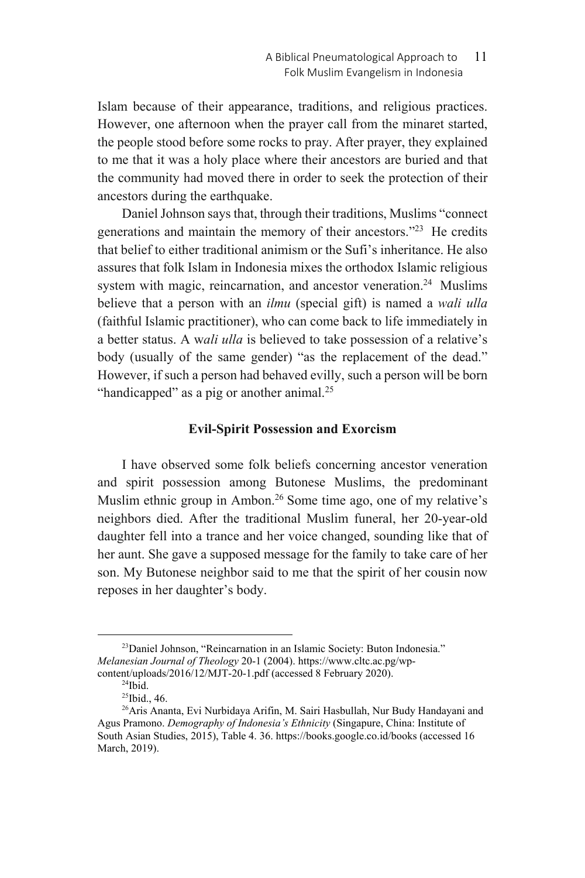Islam because of their appearance, traditions, and religious practices. However, one afternoon when the prayer call from the minaret started, the people stood before some rocks to pray. After prayer, they explained to me that it was a holy place where their ancestors are buried and that the community had moved there in order to seek the protection of their ancestors during the earthquake.

Daniel Johnson says that, through their traditions, Muslims "connect generations and maintain the memory of their ancestors."23 He credits that belief to either traditional animism or the Sufi's inheritance. He also assures that folk Islam in Indonesia mixes the orthodox Islamic religious system with magic, reincarnation, and ancestor veneration.<sup>24</sup> Muslims believe that a person with an *ilmu* (special gift) is named a *wali ulla* (faithful Islamic practitioner), who can come back to life immediately in a better status. A w*ali ulla* is believed to take possession of a relative's body (usually of the same gender) "as the replacement of the dead." However, if such a person had behaved evilly, such a person will be born "handicapped" as a pig or another animal.<sup>25</sup>

### **Evil-Spirit Possession and Exorcism**

I have observed some folk beliefs concerning ancestor veneration and spirit possession among Butonese Muslims, the predominant Muslim ethnic group in Ambon.<sup>26</sup> Some time ago, one of my relative's neighbors died. After the traditional Muslim funeral, her 20-year-old daughter fell into a trance and her voice changed, sounding like that of her aunt. She gave a supposed message for the family to take care of her son. My Butonese neighbor said to me that the spirit of her cousin now reposes in her daughter's body.

<sup>&</sup>lt;sup>23</sup>Daniel Johnson, "Reincarnation in an Islamic Society: Buton Indonesia." *Melanesian Journal of Theology* 20-1 (2004). https://www.cltc.ac.pg/wpcontent/uploads/2016/12/MJT-20-1.pdf (accessed 8 February 2020). 24Ibid.

<sup>&</sup>lt;sup>25</sup>Ibid., 46.

<sup>26</sup>Aris Ananta, Evi Nurbidaya Arifin, M. Sairi Hasbullah, Nur Budy Handayani and Agus Pramono. *Demography of Indonesia's Ethnicity* (Singapure, China: Institute of South Asian Studies, 2015), Table 4. 36. https://books.google.co.id/books (accessed 16 March, 2019).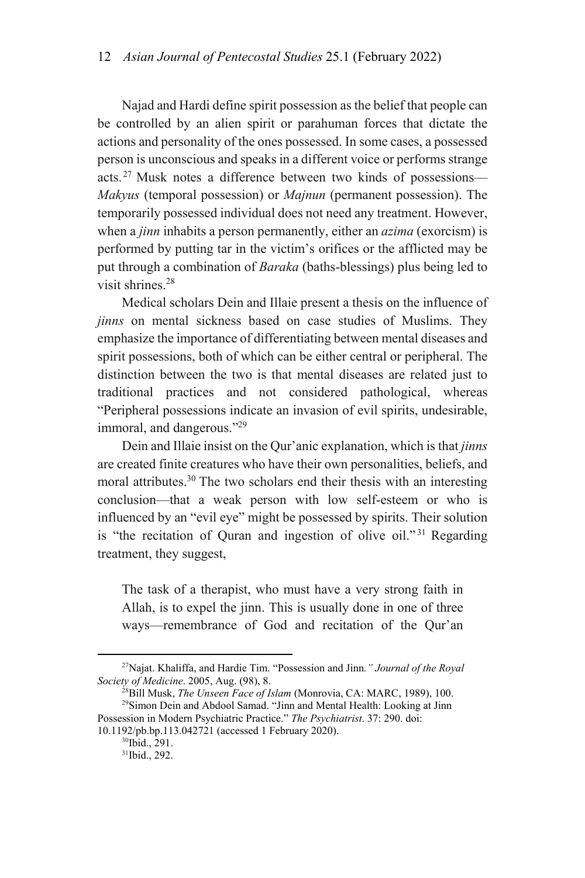Najad and Hardi define spirit possession as the belief that people can be controlled by an alien spirit or parahuman forces that dictate the actions and personality of the ones possessed. In some cases, a possessed person is unconscious and speaks in a different voice or performs strange acts.27 Musk notes a difference between two kinds of possessions— *Makyus* (temporal possession) or *Majnun* (permanent possession). The temporarily possessed individual does not need any treatment. However, when a *jinn* inhabits a person permanently, either an *azima* (exorcism) is performed by putting tar in the victim's orifices or the afflicted may be put through a combination of *Baraka* (baths-blessings) plus being led to visit shrines.28

Medical scholars Dein and Illaie present a thesis on the influence of *jinns* on mental sickness based on case studies of Muslims. They emphasize the importance of differentiating between mental diseases and spirit possessions, both of which can be either central or peripheral. The distinction between the two is that mental diseases are related just to traditional practices and not considered pathological, whereas "Peripheral possessions indicate an invasion of evil spirits, undesirable, immoral, and dangerous."<sup>29</sup>

Dein and Illaie insist on the Qur'anic explanation, which is that *jinns* are created finite creatures who have their own personalities, beliefs, and moral attributes.<sup>30</sup> The two scholars end their thesis with an interesting conclusion—that a weak person with low self-esteem or who is influenced by an "evil eye" might be possessed by spirits. Their solution is "the recitation of Quran and ingestion of olive oil."<sup>31</sup> Regarding treatment, they suggest,

The task of a therapist, who must have a very strong faith in Allah, is to expel the jinn. This is usually done in one of three ways—remembrance of God and recitation of the Qur'an

<sup>&</sup>lt;sup>27</sup>Najat. Khaliffa, and Hardie Tim. "Possession and Jinn." *Journal of the Royal Society of Medicine.* 2005. Aug. (98). 8.

<sup>&</sup>lt;sup>28</sup>Bill Musk, *The Unseen Face of Islam* (Monrovia, CA: MARC, 1989), 100. <sup>29</sup>Simon Dein and Abdool Samad. "Jinn and Mental Health: Looking at Jinn Possession in Modern Psychiatric Practice." *The Psychiatrist*. 37: 290. doi:

<sup>10.1192/</sup>pb.bp.113.042721 (accessed 1 February 2020).<br><sup>30</sup>Ibid., 291.

<sup>31</sup>Ibid., 292.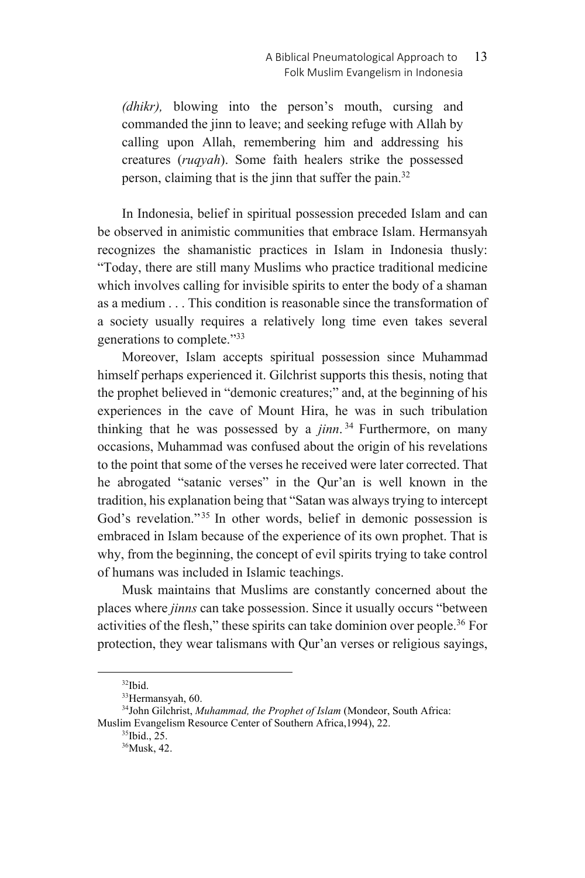*(dhikr),* blowing into the person's mouth, cursing and commanded the jinn to leave; and seeking refuge with Allah by calling upon Allah, remembering him and addressing his creatures (*ruqyah*). Some faith healers strike the possessed person, claiming that is the jinn that suffer the pain.32

In Indonesia, belief in spiritual possession preceded Islam and can be observed in animistic communities that embrace Islam. Hermansyah recognizes the shamanistic practices in Islam in Indonesia thusly: "Today, there are still many Muslims who practice traditional medicine which involves calling for invisible spirits to enter the body of a shaman as a medium . . . This condition is reasonable since the transformation of a society usually requires a relatively long time even takes several generations to complete."33

Moreover, Islam accepts spiritual possession since Muhammad himself perhaps experienced it. Gilchrist supports this thesis, noting that the prophet believed in "demonic creatures;" and, at the beginning of his experiences in the cave of Mount Hira, he was in such tribulation thinking that he was possessed by a  $jinn.<sup>34</sup>$  Furthermore, on many occasions, Muhammad was confused about the origin of his revelations to the point that some of the verses he received were later corrected. That he abrogated "satanic verses" in the Qur'an is well known in the tradition, his explanation being that "Satan was always trying to intercept God's revelation."<sup>35</sup> In other words, belief in demonic possession is embraced in Islam because of the experience of its own prophet. That is why, from the beginning, the concept of evil spirits trying to take control of humans was included in Islamic teachings.

Musk maintains that Muslims are constantly concerned about the places where *jinns* can take possession. Since it usually occurs "between activities of the flesh," these spirits can take dominion over people.<sup>36</sup> For protection, they wear talismans with Qur'an verses or religious sayings,

 <sup>32</sup>Ibid.

<sup>33</sup>Hermansyah, 60.

<sup>&</sup>lt;sup>34</sup>John Gilchrist, *Muhammad, the Prophet of Islam* (Mondeor, South Africa: Muslim Evangelism Resource Center of Southern Africa,1994), 22.

<sup>35</sup>Ibid., 25.

<sup>36</sup>Musk, 42.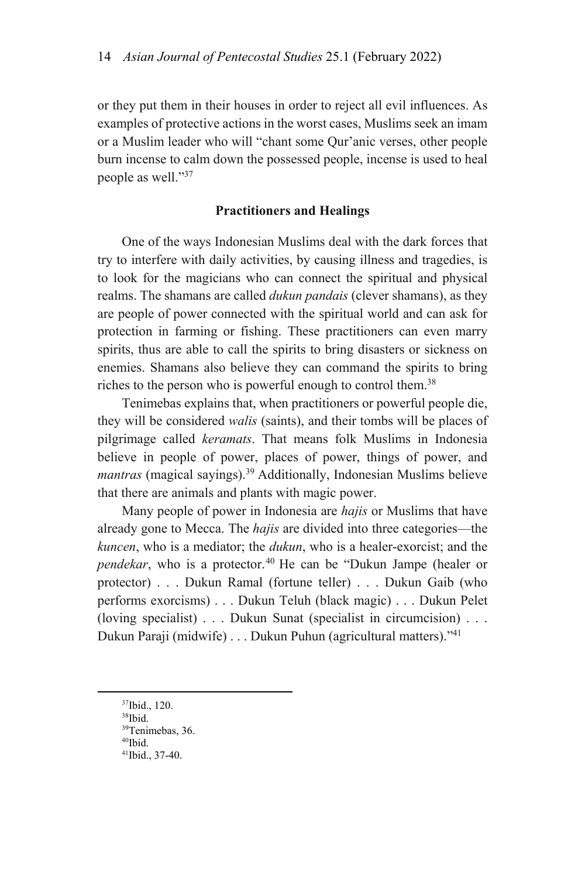or they put them in their houses in order to reject all evil influences. As examples of protective actions in the worst cases, Muslims seek an imam or a Muslim leader who will "chant some Qur'anic verses, other people burn incense to calm down the possessed people, incense is used to heal people as well."37

#### **Practitioners and Healings**

One of the ways Indonesian Muslims deal with the dark forces that try to interfere with daily activities, by causing illness and tragedies, is to look for the magicians who can connect the spiritual and physical realms. The shamans are called *dukun pandais* (clever shamans), as they are people of power connected with the spiritual world and can ask for protection in farming or fishing. These practitioners can even marry spirits, thus are able to call the spirits to bring disasters or sickness on enemies. Shamans also believe they can command the spirits to bring riches to the person who is powerful enough to control them.<sup>38</sup>

Tenimebas explains that, when practitioners or powerful people die, they will be considered *walis* (saints), and their tombs will be places of pilgrimage called *keramats*. That means folk Muslims in Indonesia believe in people of power, places of power, things of power, and *mantras* (magical sayings).39 Additionally, Indonesian Muslims believe that there are animals and plants with magic power.

Many people of power in Indonesia are *hajis* or Muslims that have already gone to Mecca. The *hajis* are divided into three categories—the *kuncen*, who is a mediator; the *dukun*, who is a healer-exorcist; and the *pendekar*, who is a protector.<sup>40</sup> He can be "Dukun Jampe (healer or protector) . . . Dukun Ramal (fortune teller) . . . Dukun Gaib (who performs exorcisms) . . . Dukun Teluh (black magic) . . . Dukun Pelet (loving specialist) . . . Dukun Sunat (specialist in circumcision) . . . Dukun Paraji (midwife) . . . Dukun Puhun (agricultural matters)."41

 <sup>37</sup>Ibid., 120.

<sup>38</sup>Ibid.

<sup>39</sup>Tenimebas, 36.

<sup>40</sup>Ibid.

<sup>41</sup>Ibid., 37-40.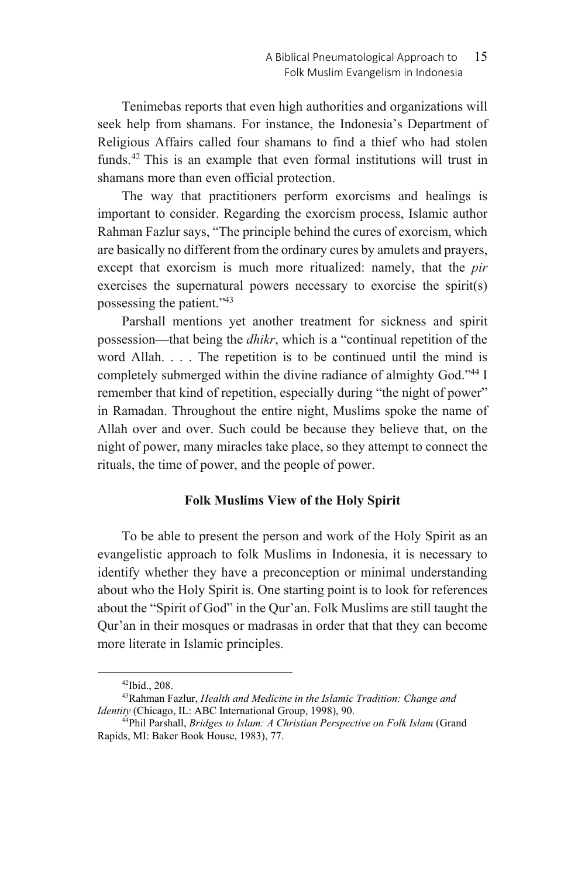Tenimebas reports that even high authorities and organizations will seek help from shamans. For instance, the Indonesia's Department of Religious Affairs called four shamans to find a thief who had stolen funds.42 This is an example that even formal institutions will trust in shamans more than even official protection.

The way that practitioners perform exorcisms and healings is important to consider. Regarding the exorcism process, Islamic author Rahman Fazlur says, "The principle behind the cures of exorcism, which are basically no different from the ordinary cures by amulets and prayers, except that exorcism is much more ritualized: namely, that the *pir* exercises the supernatural powers necessary to exorcise the spirit(s) possessing the patient."43

Parshall mentions yet another treatment for sickness and spirit possession—that being the *dhikr*, which is a "continual repetition of the word Allah. . . . The repetition is to be continued until the mind is completely submerged within the divine radiance of almighty God."44 I remember that kind of repetition, especially during "the night of power" in Ramadan. Throughout the entire night, Muslims spoke the name of Allah over and over. Such could be because they believe that, on the night of power, many miracles take place, so they attempt to connect the rituals, the time of power, and the people of power.

### **Folk Muslims View of the Holy Spirit**

To be able to present the person and work of the Holy Spirit as an evangelistic approach to folk Muslims in Indonesia, it is necessary to identify whether they have a preconception or minimal understanding about who the Holy Spirit is. One starting point is to look for references about the "Spirit of God" in the Qur'an. Folk Muslims are still taught the Qur'an in their mosques or madrasas in order that that they can become more literate in Islamic principles.

 <sup>42</sup>Ibid., 208.

<sup>43</sup>Rahman Fazlur, *Health and Medicine in the Islamic Tradition: Change and Identity* (Chicago, IL: ABC International Group, 1998), 90.<br><sup>44</sup>Phil Parshall, *Bridges to Islam: A Christian Perspective on Folk Islam* (Grand

Rapids, MI: Baker Book House, 1983), 77.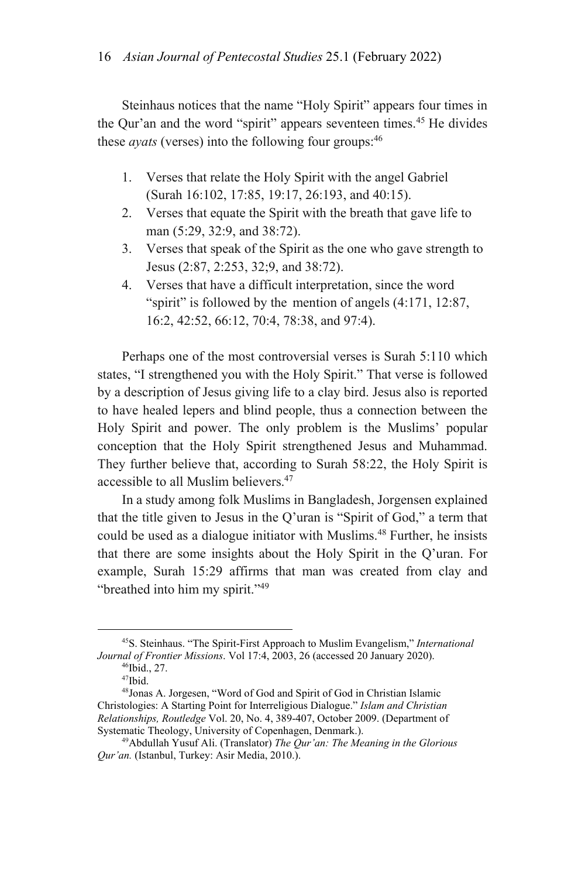Steinhaus notices that the name "Holy Spirit" appears four times in the Qur'an and the word "spirit" appears seventeen times.<sup>45</sup> He divides these *ayats* (verses) into the following four groups:<sup>46</sup>

- 1. Verses that relate the Holy Spirit with the angel Gabriel (Surah 16:102, 17:85, 19:17, 26:193, and 40:15).
- 2. Verses that equate the Spirit with the breath that gave life to man (5:29, 32:9, and 38:72).
- 3. Verses that speak of the Spirit as the one who gave strength to Jesus (2:87, 2:253, 32;9, and 38:72).
- 4. Verses that have a difficult interpretation, since the word "spirit" is followed by the mention of angels (4:171, 12:87, 16:2, 42:52, 66:12, 70:4, 78:38, and 97:4).

Perhaps one of the most controversial verses is Surah 5:110 which states, "I strengthened you with the Holy Spirit." That verse is followed by a description of Jesus giving life to a clay bird. Jesus also is reported to have healed lepers and blind people, thus a connection between the Holy Spirit and power. The only problem is the Muslims' popular conception that the Holy Spirit strengthened Jesus and Muhammad. They further believe that, according to Surah 58:22, the Holy Spirit is accessible to all Muslim believers.<sup>47</sup>

In a study among folk Muslims in Bangladesh, Jorgensen explained that the title given to Jesus in the Q'uran is "Spirit of God," a term that could be used as a dialogue initiator with Muslims.<sup>48</sup> Further, he insists that there are some insights about the Holy Spirit in the Q'uran. For example, Surah 15:29 affirms that man was created from clay and "breathed into him my spirit."49

 <sup>45</sup>S. Steinhaus. "The Spirit-First Approach to Muslim Evangelism," *International Journal of Frontier Missions*. Vol 17:4, 2003, 26 (accessed 20 January 2020). <sup>46</sup>Ibid., 27.

<sup>47</sup>Ibid.

<sup>48</sup>Jonas A. Jorgesen, "Word of God and Spirit of God in Christian Islamic Christologies: A Starting Point for Interreligious Dialogue." *Islam and Christian Relationships, Routledge* Vol. 20, No. 4, 389-407, October 2009. (Department of

<sup>&</sup>lt;sup>49</sup>Abdullah Yusuf Ali. (Translator) The Qur'an: The Meaning in the Glorious *Qur'an.* (Istanbul, Turkey: Asir Media, 2010.).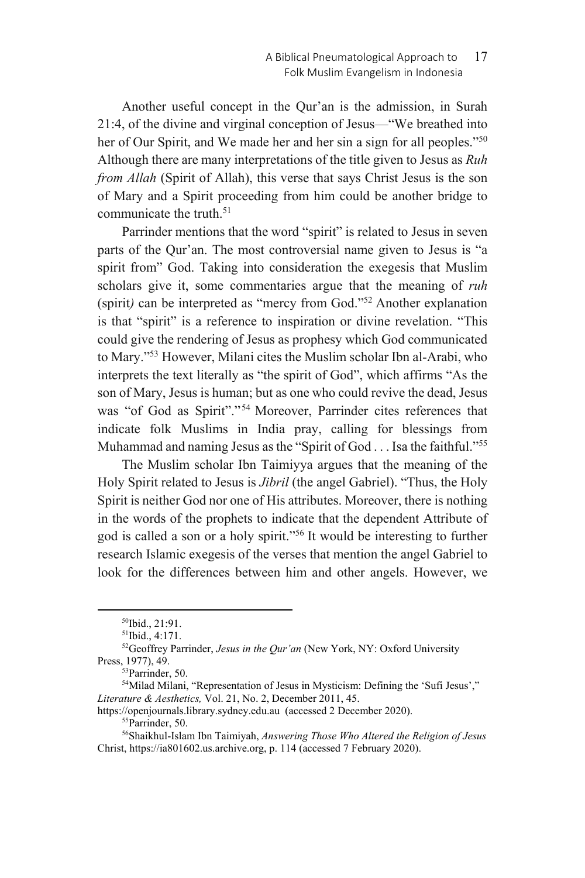Another useful concept in the Qur'an is the admission, in Surah 21:4, of the divine and virginal conception of Jesus—"We breathed into her of Our Spirit, and We made her and her sin a sign for all peoples."<sup>50</sup> Although there are many interpretations of the title given to Jesus as *Ruh from Allah* (Spirit of Allah), this verse that says Christ Jesus is the son of Mary and a Spirit proceeding from him could be another bridge to communicate the truth.<sup>51</sup>

Parrinder mentions that the word "spirit" is related to Jesus in seven parts of the Qur'an. The most controversial name given to Jesus is "a spirit from" God. Taking into consideration the exegesis that Muslim scholars give it, some commentaries argue that the meaning of *ruh* (spirit*)* can be interpreted as "mercy from God."52 Another explanation is that "spirit" is a reference to inspiration or divine revelation. "This could give the rendering of Jesus as prophesy which God communicated to Mary."53 However, Milani cites the Muslim scholar Ibn al-Arabi, who interprets the text literally as "the spirit of God", which affirms "As the son of Mary, Jesus is human; but as one who could revive the dead, Jesus was "of God as Spirit"."54 Moreover, Parrinder cites references that indicate folk Muslims in India pray, calling for blessings from Muhammad and naming Jesus as the "Spirit of God . . . Isa the faithful."<sup>55</sup>

The Muslim scholar Ibn Taimiyya argues that the meaning of the Holy Spirit related to Jesus is *Jibril* (the angel Gabriel). "Thus, the Holy Spirit is neither God nor one of His attributes. Moreover, there is nothing in the words of the prophets to indicate that the dependent Attribute of god is called a son or a holy spirit."56 It would be interesting to further research Islamic exegesis of the verses that mention the angel Gabriel to look for the differences between him and other angels. However, we

https://openjournals.library.sydney.edu.au (accessed 2 December 2020). 55Parrinder, 50.

 <sup>50</sup>Ibid., 21:91.

<sup>51</sup>Ibid., 4:171.

<sup>52</sup>Geoffrey Parrinder, *Jesus in the Qur'an* (New York, NY: Oxford University Press, 1977), 49.<br><sup>53</sup>Parrinder, 50.

<sup>54</sup>Milad Milani, "Representation of Jesus in Mysticism: Defining the 'Sufi Jesus'," *Literature & Aesthetics,* Vol. 21, No. 2, December 2011, 45.

<sup>56</sup>Shaikhul-Islam Ibn Taimiyah, *Answering Those Who Altered the Religion of Jesus*  Christ, https://ia801602.us.archive.org, p. 114 (accessed 7 February 2020).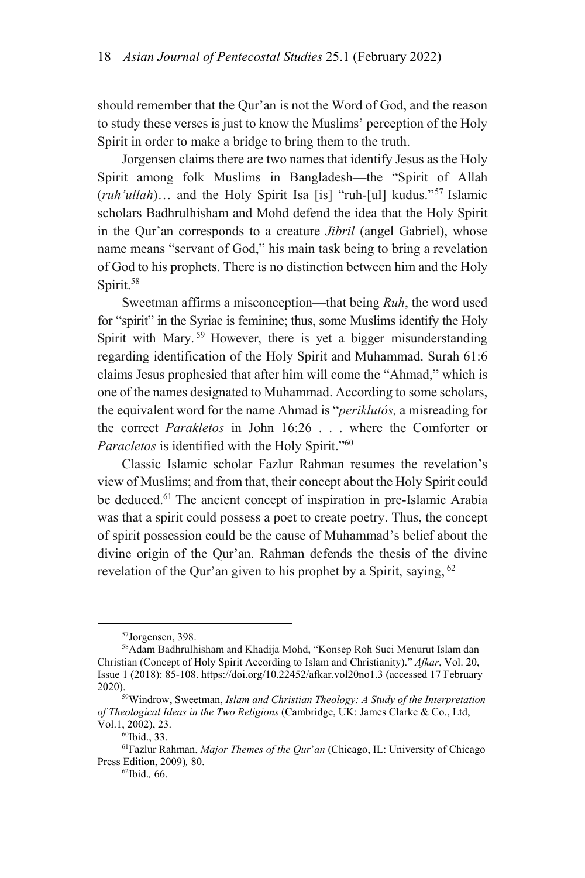should remember that the Qur'an is not the Word of God, and the reason to study these verses is just to know the Muslims' perception of the Holy Spirit in order to make a bridge to bring them to the truth.

Jorgensen claims there are two names that identify Jesus as the Holy Spirit among folk Muslims in Bangladesh—the "Spirit of Allah (*ruh'ullah*)… and the Holy Spirit Isa [is] "ruh-[ul] kudus."57 Islamic scholars Badhrulhisham and Mohd defend the idea that the Holy Spirit in the Qur'an corresponds to a creature *Jibril* (angel Gabriel), whose name means "servant of God," his main task being to bring a revelation of God to his prophets. There is no distinction between him and the Holy Spirit.<sup>58</sup>

Sweetman affirms a misconception—that being *Ruh*, the word used for "spirit" in the Syriac is feminine; thus, some Muslims identify the Holy Spirit with Mary.<sup>59</sup> However, there is yet a bigger misunderstanding regarding identification of the Holy Spirit and Muhammad. Surah 61:6 claims Jesus prophesied that after him will come the "Ahmad," which is one of the names designated to Muhammad. According to some scholars, the equivalent word for the name Ahmad is "*periklutós,* a misreading for the correct *Parakletos* in John 16:26 . . . where the Comforter or *Paracletos* is identified with the Holy Spirit."60

Classic Islamic scholar Fazlur Rahman resumes the revelation's view of Muslims; and from that, their concept about the Holy Spirit could be deduced.<sup>61</sup> The ancient concept of inspiration in pre-Islamic Arabia was that a spirit could possess a poet to create poetry. Thus, the concept of spirit possession could be the cause of Muhammad's belief about the divine origin of the Qur'an. Rahman defends the thesis of the divine revelation of the Qur'an given to his prophet by a Spirit, saying, <sup>62</sup>

 <sup>57</sup>Jorgensen, 398.

<sup>58</sup>Adam Badhrulhisham and Khadija Mohd, "Konsep Roh Suci Menurut Islam dan Christian (Concept of Holy Spirit According to Islam and Christianity)." *Afkar*, Vol. 20, Issue 1 (2018): 85-108. https://doi.org/10.22452/afkar.vol20no1.3 (accessed 17 February 2020). 59Windrow, Sweetman, *Islam and Christian Theology: A Study of the Interpretation* 

*of Theological Ideas in the Two Religions* (Cambridge, UK: James Clarke & Co., Ltd,  $Vol.1, 2002$ ), 23. <sup>60</sup>Ibid., 33.

<sup>61</sup>Fazlur Rahman, *Major Themes of the Qur*'*an* (Chicago, IL: University of Chicago Press Edition, 2009)*,* 80. 62Ibid.*,* 66.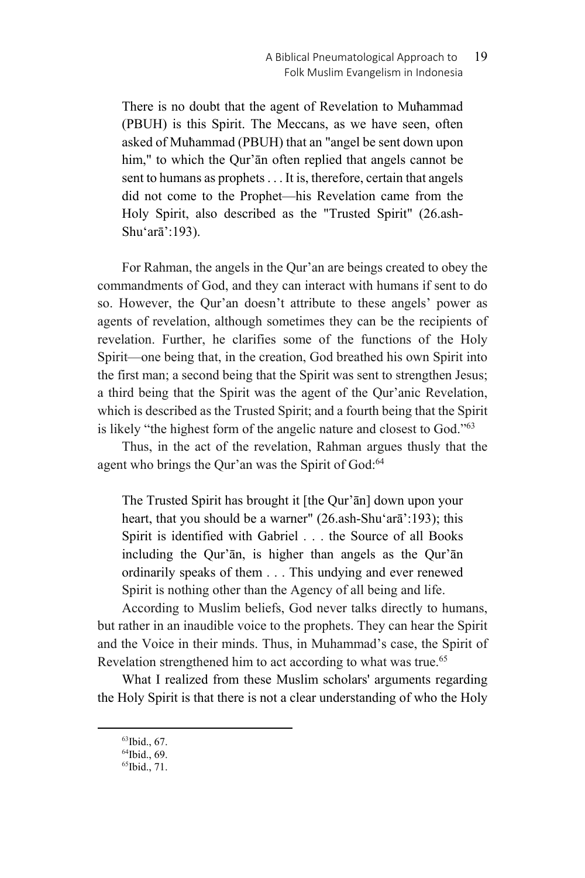There is no doubt that the agent of Revelation to Muħammad (PBUH) is this Spirit. The Meccans, as we have seen, often asked of Muħammad (PBUH) that an "angel be sent down upon him," to which the Qur'an often replied that angels cannot be sent to humans as prophets . . . It is, therefore, certain that angels did not come to the Prophet—his Revelation came from the Holy Spirit, also described as the "Trusted Spirit" (26.ash-Shu'arā':193).

For Rahman, the angels in the Qur'an are beings created to obey the commandments of God, and they can interact with humans if sent to do so. However, the Qur'an doesn't attribute to these angels' power as agents of revelation, although sometimes they can be the recipients of revelation. Further, he clarifies some of the functions of the Holy Spirit—one being that, in the creation, God breathed his own Spirit into the first man; a second being that the Spirit was sent to strengthen Jesus; a third being that the Spirit was the agent of the Qur'anic Revelation, which is described as the Trusted Spirit; and a fourth being that the Spirit is likely "the highest form of the angelic nature and closest to God."63

Thus, in the act of the revelation, Rahman argues thusly that the agent who brings the Qur'an was the Spirit of God:<sup>64</sup>

The Trusted Spirit has brought it [the Qur'ān] down upon your heart, that you should be a warner" (26.ash-Shu'arā':193); this Spirit is identified with Gabriel . . . the Source of all Books including the Qur'ān, is higher than angels as the Qur'ān ordinarily speaks of them . . . This undying and ever renewed Spirit is nothing other than the Agency of all being and life.

According to Muslim beliefs, God never talks directly to humans, but rather in an inaudible voice to the prophets. They can hear the Spirit and the Voice in their minds. Thus, in Muhammad's case, the Spirit of Revelation strengthened him to act according to what was true.<sup>65</sup>

What I realized from these Muslim scholars' arguments regarding the Holy Spirit is that there is not a clear understanding of who the Holy

 <sup>63</sup>Ibid., 67.

<sup>64</sup>Ibid., 69.

 $65$ Ibid., 71.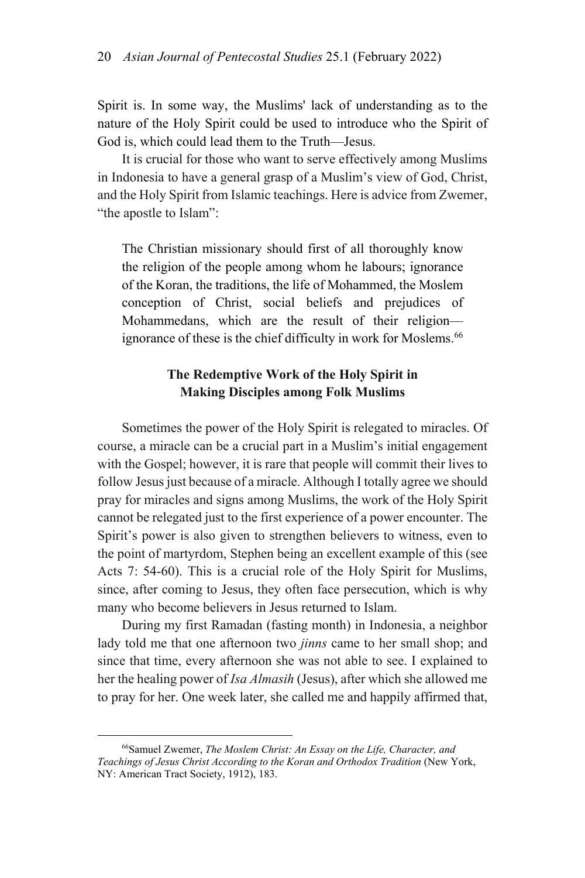Spirit is. In some way, the Muslims' lack of understanding as to the nature of the Holy Spirit could be used to introduce who the Spirit of God is, which could lead them to the Truth—Jesus.

It is crucial for those who want to serve effectively among Muslims in Indonesia to have a general grasp of a Muslim's view of God, Christ, and the Holy Spirit from Islamic teachings. Here is advice from Zwemer, "the apostle to Islam":

The Christian missionary should first of all thoroughly know the religion of the people among whom he labours; ignorance of the Koran, the traditions, the life of Mohammed, the Moslem conception of Christ, social beliefs and prejudices of Mohammedans, which are the result of their religion ignorance of these is the chief difficulty in work for Moslems.<sup>66</sup>

## **The Redemptive Work of the Holy Spirit in Making Disciples among Folk Muslims**

Sometimes the power of the Holy Spirit is relegated to miracles. Of course, a miracle can be a crucial part in a Muslim's initial engagement with the Gospel; however, it is rare that people will commit their lives to follow Jesus just because of a miracle. Although I totally agree we should pray for miracles and signs among Muslims, the work of the Holy Spirit cannot be relegated just to the first experience of a power encounter. The Spirit's power is also given to strengthen believers to witness, even to the point of martyrdom, Stephen being an excellent example of this (see Acts 7: 54-60). This is a crucial role of the Holy Spirit for Muslims, since, after coming to Jesus, they often face persecution, which is why many who become believers in Jesus returned to Islam.

During my first Ramadan (fasting month) in Indonesia, a neighbor lady told me that one afternoon two *jinns* came to her small shop; and since that time, every afternoon she was not able to see. I explained to her the healing power of *Isa Almasih* (Jesus), after which she allowed me to pray for her. One week later, she called me and happily affirmed that,

 <sup>66</sup>Samuel Zwemer, *The Moslem Christ: An Essay on the Life, Character, and Teachings of Jesus Christ According to the Koran and Orthodox Tradition* (New York, NY: American Tract Society, 1912), 183.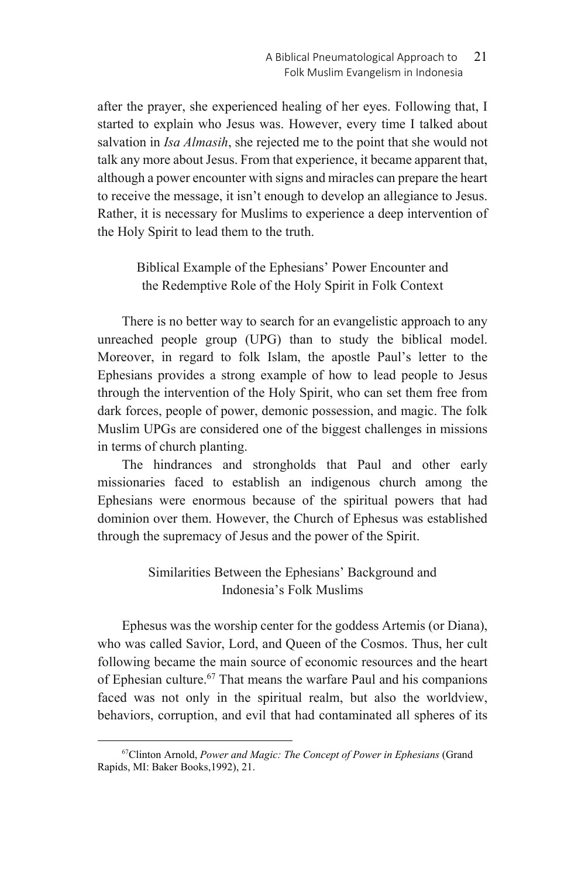after the prayer, she experienced healing of her eyes. Following that, I started to explain who Jesus was. However, every time I talked about salvation in *Isa Almasih*, she rejected me to the point that she would not talk any more about Jesus. From that experience, it became apparent that, although a power encounter with signs and miracles can prepare the heart to receive the message, it isn't enough to develop an allegiance to Jesus. Rather, it is necessary for Muslims to experience a deep intervention of the Holy Spirit to lead them to the truth.

Biblical Example of the Ephesians' Power Encounter and the Redemptive Role of the Holy Spirit in Folk Context

There is no better way to search for an evangelistic approach to any unreached people group (UPG) than to study the biblical model. Moreover, in regard to folk Islam, the apostle Paul's letter to the Ephesians provides a strong example of how to lead people to Jesus through the intervention of the Holy Spirit, who can set them free from dark forces, people of power, demonic possession, and magic. The folk Muslim UPGs are considered one of the biggest challenges in missions in terms of church planting.

The hindrances and strongholds that Paul and other early missionaries faced to establish an indigenous church among the Ephesians were enormous because of the spiritual powers that had dominion over them. However, the Church of Ephesus was established through the supremacy of Jesus and the power of the Spirit.

# Similarities Between the Ephesians' Background and Indonesia's Folk Muslims

Ephesus was the worship center for the goddess Artemis (or Diana), who was called Savior, Lord, and Queen of the Cosmos. Thus, her cult following became the main source of economic resources and the heart of Ephesian culture.<sup>67</sup> That means the warfare Paul and his companions faced was not only in the spiritual realm, but also the worldview, behaviors, corruption, and evil that had contaminated all spheres of its

 <sup>67</sup>Clinton Arnold, *Power and Magic: The Concept of Power in Ephesians* (Grand Rapids, MI: Baker Books,1992), 21.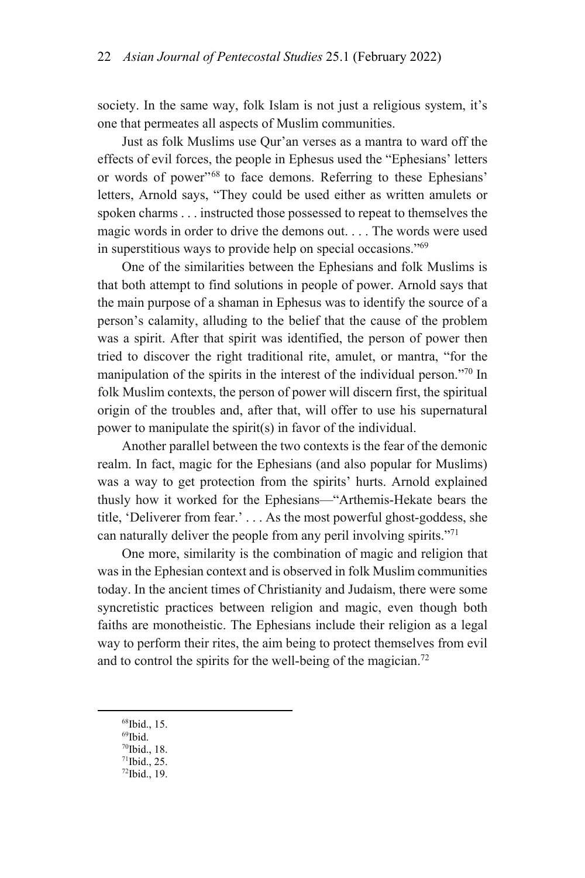society. In the same way, folk Islam is not just a religious system, it's one that permeates all aspects of Muslim communities.

Just as folk Muslims use Qur'an verses as a mantra to ward off the effects of evil forces, the people in Ephesus used the "Ephesians' letters or words of power"68 to face demons. Referring to these Ephesians' letters, Arnold says, "They could be used either as written amulets or spoken charms . . . instructed those possessed to repeat to themselves the magic words in order to drive the demons out. . . . The words were used in superstitious ways to provide help on special occasions."69

One of the similarities between the Ephesians and folk Muslims is that both attempt to find solutions in people of power. Arnold says that the main purpose of a shaman in Ephesus was to identify the source of a person's calamity, alluding to the belief that the cause of the problem was a spirit. After that spirit was identified, the person of power then tried to discover the right traditional rite, amulet, or mantra, "for the manipulation of the spirits in the interest of the individual person."70 In folk Muslim contexts, the person of power will discern first, the spiritual origin of the troubles and, after that, will offer to use his supernatural power to manipulate the spirit(s) in favor of the individual.

Another parallel between the two contexts is the fear of the demonic realm. In fact, magic for the Ephesians (and also popular for Muslims) was a way to get protection from the spirits' hurts. Arnold explained thusly how it worked for the Ephesians—"Arthemis-Hekate bears the title, 'Deliverer from fear.' . . . As the most powerful ghost-goddess, she can naturally deliver the people from any peril involving spirits."<sup>71</sup>

One more, similarity is the combination of magic and religion that was in the Ephesian context and is observed in folk Muslim communities today. In the ancient times of Christianity and Judaism, there were some syncretistic practices between religion and magic, even though both faiths are monotheistic. The Ephesians include their religion as a legal way to perform their rites, the aim being to protect themselves from evil and to control the spirits for the well-being of the magician.<sup>72</sup>

- 68Ibid., 15.
- $\rm ^{69}Ibid.$
- 70Ibid., 18.
- 71Ibid., 25.
- 72Ibid., 19.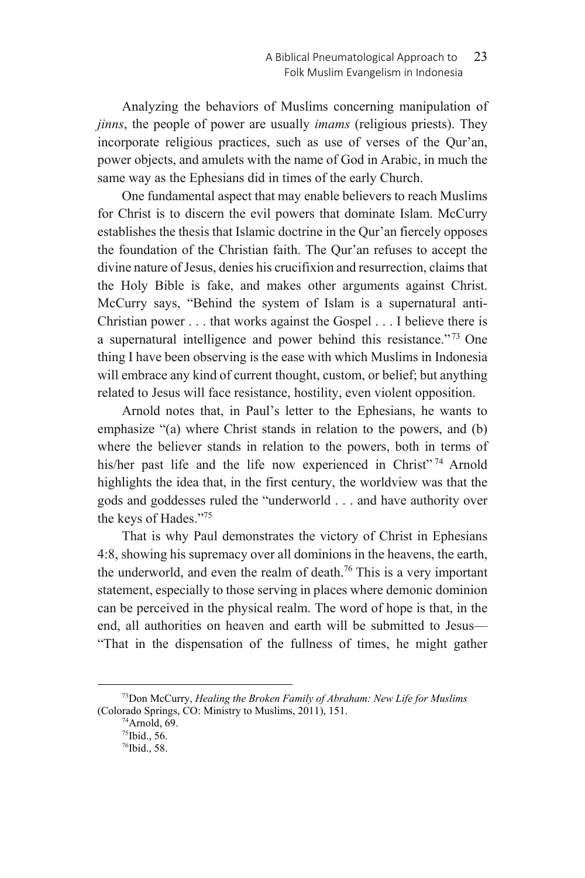Analyzing the behaviors of Muslims concerning manipulation of *jinns*, the people of power are usually *imams* (religious priests). They incorporate religious practices, such as use of verses of the Qur'an, power objects, and amulets with the name of God in Arabic, in much the same way as the Ephesians did in times of the early Church.

One fundamental aspect that may enable believers to reach Muslims for Christ is to discern the evil powers that dominate Islam. McCurry establishes the thesis that Islamic doctrine in the Qur'an fiercely opposes the foundation of the Christian faith. The Qur'an refuses to accept the divine nature of Jesus, denies his crucifixion and resurrection, claims that the Holy Bible is fake, and makes other arguments against Christ. McCurry says, "Behind the system of Islam is a supernatural anti-Christian power . . . that works against the Gospel . . . I believe there is a supernatural intelligence and power behind this resistance." 73 One thing I have been observing is the ease with which Muslims in Indonesia will embrace any kind of current thought, custom, or belief; but anything related to Jesus will face resistance, hostility, even violent opposition.

Arnold notes that, in Paul's letter to the Ephesians, he wants to emphasize "(a) where Christ stands in relation to the powers, and (b) where the believer stands in relation to the powers, both in terms of his/her past life and the life now experienced in Christ"<sup>74</sup> Arnold highlights the idea that, in the first century, the worldview was that the gods and goddesses ruled the "underworld . . . and have authority over the keys of Hades."75

That is why Paul demonstrates the victory of Christ in Ephesians 4:8, showing his supremacy over all dominions in the heavens, the earth, the underworld, and even the realm of death.<sup>76</sup> This is a very important statement, especially to those serving in places where demonic dominion can be perceived in the physical realm. The word of hope is that, in the end, all authorities on heaven and earth will be submitted to Jesus— "That in the dispensation of the fullness of times, he might gather

 <sup>73</sup>Don McCurry, *Healing the Broken Family of Abraham: New Life for Muslims*  (Colorado Springs, CO: Ministry to Muslims, 2011), 151. 74Arnold, 69.

<sup>75</sup>Ibid., 56.

<sup>76</sup>Ibid., 58.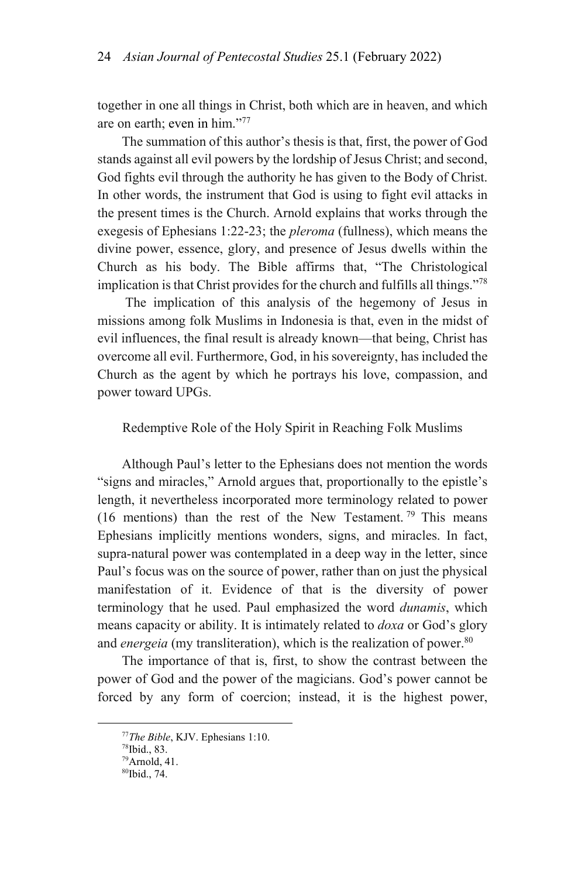together in one all things in Christ, both which are in heaven, and which are on earth; even in him."77

The summation of this author's thesis is that, first, the power of God stands against all evil powers by the lordship of Jesus Christ; and second, God fights evil through the authority he has given to the Body of Christ. In other words, the instrument that God is using to fight evil attacks in the present times is the Church. Arnold explains that works through the exegesis of Ephesians 1:22-23; the *pleroma* (fullness), which means the divine power, essence, glory, and presence of Jesus dwells within the Church as his body. The Bible affirms that, "The Christological implication is that Christ provides for the church and fulfills all things."78

 The implication of this analysis of the hegemony of Jesus in missions among folk Muslims in Indonesia is that, even in the midst of evil influences, the final result is already known—that being, Christ has overcome all evil. Furthermore, God, in his sovereignty, has included the Church as the agent by which he portrays his love, compassion, and power toward UPGs.

## Redemptive Role of the Holy Spirit in Reaching Folk Muslims

Although Paul's letter to the Ephesians does not mention the words "signs and miracles," Arnold argues that, proportionally to the epistle's length, it nevertheless incorporated more terminology related to power (16 mentions) than the rest of the New Testament.<sup>79</sup> This means Ephesians implicitly mentions wonders, signs, and miracles. In fact, supra-natural power was contemplated in a deep way in the letter, since Paul's focus was on the source of power, rather than on just the physical manifestation of it. Evidence of that is the diversity of power terminology that he used. Paul emphasized the word *dunamis*, which means capacity or ability. It is intimately related to *doxa* or God's glory and *energeia* (my transliteration), which is the realization of power.<sup>80</sup>

The importance of that is, first, to show the contrast between the power of God and the power of the magicians. God's power cannot be forced by any form of coercion; instead, it is the highest power,

<sup>77</sup>*The Bible*, KJV. Ephesians 1:10. 78Ibid., 83.

<sup>79</sup>Arnold, 41. 80Ibid., 74.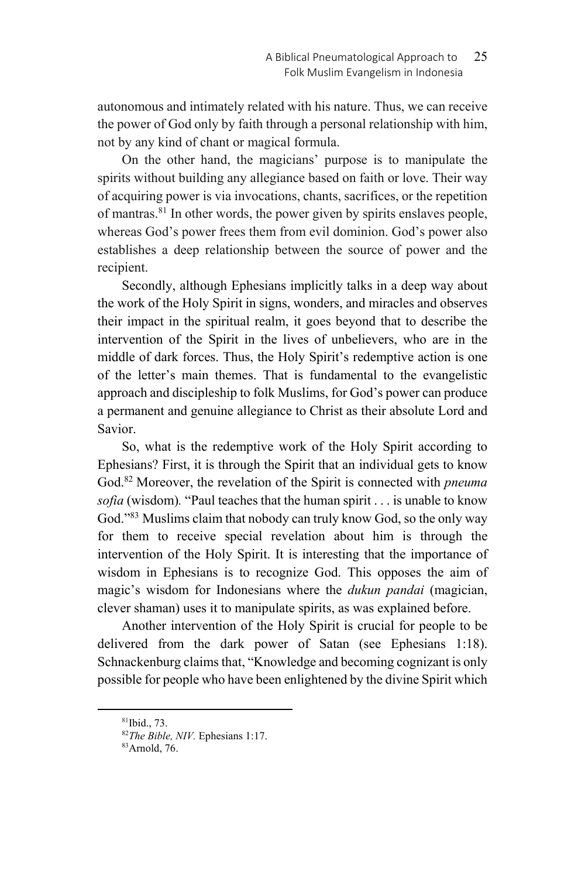autonomous and intimately related with his nature. Thus, we can receive the power of God only by faith through a personal relationship with him, not by any kind of chant or magical formula.

On the other hand, the magicians' purpose is to manipulate the spirits without building any allegiance based on faith or love. Their way of acquiring power is via invocations, chants, sacrifices, or the repetition of mantras.<sup>81</sup> In other words, the power given by spirits enslaves people, whereas God's power frees them from evil dominion. God's power also establishes a deep relationship between the source of power and the recipient.

Secondly, although Ephesians implicitly talks in a deep way about the work of the Holy Spirit in signs, wonders, and miracles and observes their impact in the spiritual realm, it goes beyond that to describe the intervention of the Spirit in the lives of unbelievers, who are in the middle of dark forces. Thus, the Holy Spirit's redemptive action is one of the letter's main themes. That is fundamental to the evangelistic approach and discipleship to folk Muslims, for God's power can produce a permanent and genuine allegiance to Christ as their absolute Lord and Savior.

So, what is the redemptive work of the Holy Spirit according to Ephesians? First, it is through the Spirit that an individual gets to know God.82 Moreover, the revelation of the Spirit is connected with *pneuma sofia* (wisdom)*.* "Paul teaches that the human spirit . . . is unable to know God."83 Muslims claim that nobody can truly know God, so the only way for them to receive special revelation about him is through the intervention of the Holy Spirit. It is interesting that the importance of wisdom in Ephesians is to recognize God. This opposes the aim of magic's wisdom for Indonesians where the *dukun pandai* (magician, clever shaman) uses it to manipulate spirits, as was explained before.

Another intervention of the Holy Spirit is crucial for people to be delivered from the dark power of Satan (see Ephesians 1:18). Schnackenburg claims that, "Knowledge and becoming cognizant is only possible for people who have been enlightened by the divine Spirit which

 <sup>81</sup>Ibid., 73.

<sup>&</sup>lt;sup>82</sup>*The Bible, NIV.* Ephesians 1:17.<br><sup>83</sup>Arnold, 76.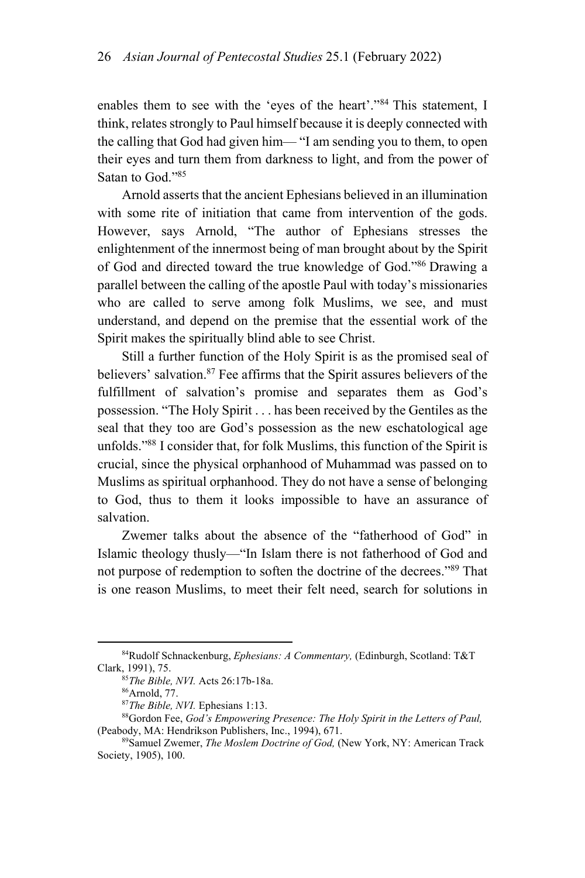enables them to see with the 'eyes of the heart'."84 This statement, I think, relates strongly to Paul himself because it is deeply connected with the calling that God had given him— "I am sending you to them, to open their eyes and turn them from darkness to light, and from the power of Satan to God."85

Arnold asserts that the ancient Ephesians believed in an illumination with some rite of initiation that came from intervention of the gods. However, says Arnold, "The author of Ephesians stresses the enlightenment of the innermost being of man brought about by the Spirit of God and directed toward the true knowledge of God."86 Drawing a parallel between the calling of the apostle Paul with today's missionaries who are called to serve among folk Muslims, we see, and must understand, and depend on the premise that the essential work of the Spirit makes the spiritually blind able to see Christ.

Still a further function of the Holy Spirit is as the promised seal of believers' salvation.<sup>87</sup> Fee affirms that the Spirit assures believers of the fulfillment of salvation's promise and separates them as God's possession. "The Holy Spirit . . . has been received by the Gentiles as the seal that they too are God's possession as the new eschatological age unfolds."88 I consider that, for folk Muslims, this function of the Spirit is crucial, since the physical orphanhood of Muhammad was passed on to Muslims as spiritual orphanhood. They do not have a sense of belonging to God, thus to them it looks impossible to have an assurance of salvation.

Zwemer talks about the absence of the "fatherhood of God" in Islamic theology thusly—"In Islam there is not fatherhood of God and not purpose of redemption to soften the doctrine of the decrees."89 That is one reason Muslims, to meet their felt need, search for solutions in

 <sup>84</sup>Rudolf Schnackenburg, *Ephesians: A Commentary,* (Edinburgh, Scotland: T&T Clark, 1991), 75.<br><sup>85</sup>*The Bible, NVI.* Acts 26:17b-18a.<br><sup>86</sup>Arnold, 77.

<sup>&</sup>lt;sup>87</sup>*The Bible, NVI.* Ephesians 1:13.<br><sup>88</sup>Gordon Fee, *God's Empowering Presence: The Holy Spirit in the Letters of Paul,* (Peabody, MA: Hendrikson Publishers, Inc., 1994), 671.<br><sup>89</sup>Samuel Zwemer, *The Moslem Doctrine of God*, (New York, NY: American Track

Society, 1905), 100.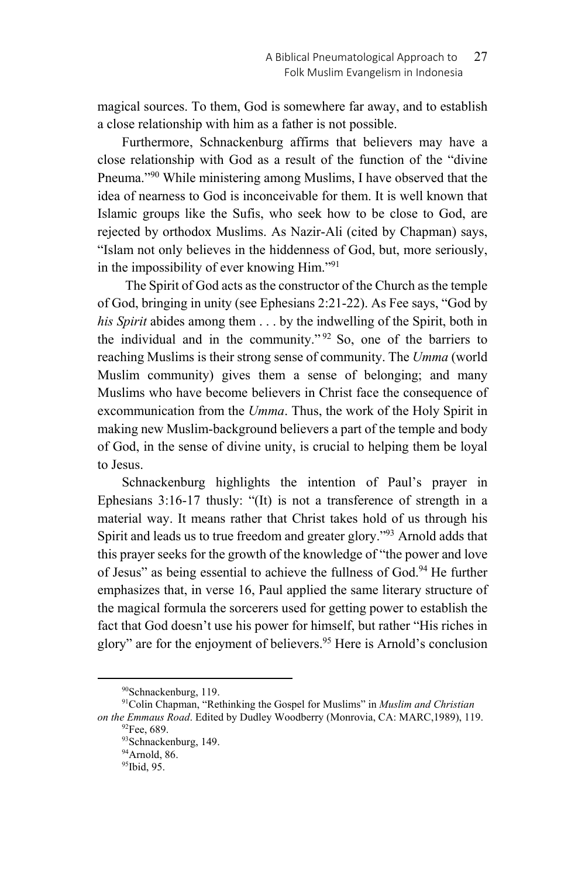magical sources. To them, God is somewhere far away, and to establish a close relationship with him as a father is not possible.

Furthermore, Schnackenburg affirms that believers may have a close relationship with God as a result of the function of the "divine Pneuma."90 While ministering among Muslims, I have observed that the idea of nearness to God is inconceivable for them. It is well known that Islamic groups like the Sufis, who seek how to be close to God, are rejected by orthodox Muslims. As Nazir-Ali (cited by Chapman) says, "Islam not only believes in the hiddenness of God, but, more seriously, in the impossibility of ever knowing Him."91

 The Spirit of God acts as the constructor of the Church as the temple of God, bringing in unity (see Ephesians 2:21-22). As Fee says, "God by *his Spirit* abides among them . . . by the indwelling of the Spirit, both in the individual and in the community."  $92$  So, one of the barriers to reaching Muslims is their strong sense of community. The *Umma* (world Muslim community) gives them a sense of belonging; and many Muslims who have become believers in Christ face the consequence of excommunication from the *Umma*. Thus, the work of the Holy Spirit in making new Muslim-background believers a part of the temple and body of God, in the sense of divine unity, is crucial to helping them be loyal to Jesus.

Schnackenburg highlights the intention of Paul's prayer in Ephesians 3:16-17 thusly: "(It) is not a transference of strength in a material way. It means rather that Christ takes hold of us through his Spirit and leads us to true freedom and greater glory."93 Arnold adds that this prayer seeks for the growth of the knowledge of "the power and love of Jesus" as being essential to achieve the fullness of God.<sup>94</sup> He further emphasizes that, in verse 16, Paul applied the same literary structure of the magical formula the sorcerers used for getting power to establish the fact that God doesn't use his power for himself, but rather "His riches in glory" are for the enjoyment of believers.<sup>95</sup> Here is Arnold's conclusion

 <sup>90</sup>Schnackenburg, 119.

<sup>91</sup>Colin Chapman, "Rethinking the Gospel for Muslims" in *Muslim and Christian on the Emmaus Road*. Edited by Dudley Woodberry (Monrovia, CA: MARC, 1989), 119. <sup>92</sup>Fee, 689.

<sup>93</sup>Schnackenburg, 149.

<sup>94</sup>Arnold, 86.

<sup>95</sup>Ibid, 95.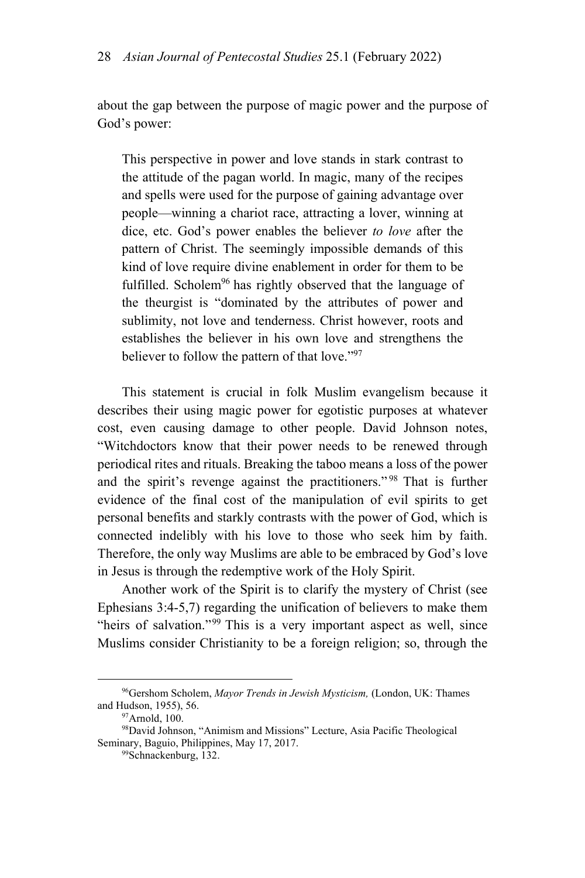about the gap between the purpose of magic power and the purpose of God's power:

This perspective in power and love stands in stark contrast to the attitude of the pagan world. In magic, many of the recipes and spells were used for the purpose of gaining advantage over people—winning a chariot race, attracting a lover, winning at dice, etc. God's power enables the believer *to love* after the pattern of Christ. The seemingly impossible demands of this kind of love require divine enablement in order for them to be fulfilled. Scholem<sup>96</sup> has rightly observed that the language of the theurgist is "dominated by the attributes of power and sublimity, not love and tenderness. Christ however, roots and establishes the believer in his own love and strengthens the believer to follow the pattern of that love."97

This statement is crucial in folk Muslim evangelism because it describes their using magic power for egotistic purposes at whatever cost, even causing damage to other people. David Johnson notes, "Witchdoctors know that their power needs to be renewed through periodical rites and rituals. Breaking the taboo means a loss of the power and the spirit's revenge against the practitioners." 98 That is further evidence of the final cost of the manipulation of evil spirits to get personal benefits and starkly contrasts with the power of God, which is connected indelibly with his love to those who seek him by faith. Therefore, the only way Muslims are able to be embraced by God's love in Jesus is through the redemptive work of the Holy Spirit.

Another work of the Spirit is to clarify the mystery of Christ (see Ephesians 3:4-5,7) regarding the unification of believers to make them "heirs of salvation."<sup>99</sup> This is a very important aspect as well, since Muslims consider Christianity to be a foreign religion; so, through the

 <sup>96</sup>Gershom Scholem, *Mayor Trends in Jewish Mysticism,* (London, UK: Thames and Hudson, 1955), 56.<br><sup>97</sup>Arnold, 100.

<sup>98</sup>David Johnson, "Animism and Missions" Lecture, Asia Pacific Theological Seminary, Baguio, Philippines, May 17, 2017.<br><sup>99</sup>Schnackenburg, 132.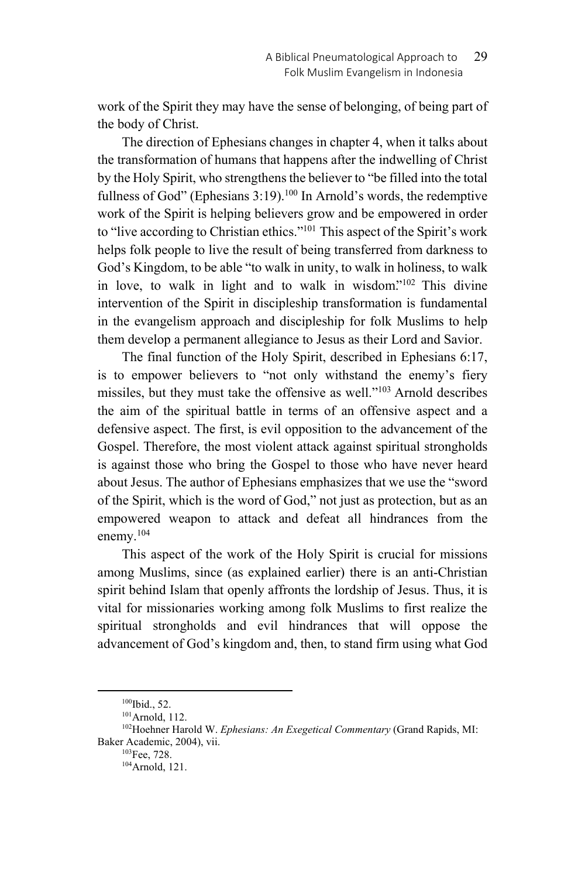work of the Spirit they may have the sense of belonging, of being part of the body of Christ.

The direction of Ephesians changes in chapter 4, when it talks about the transformation of humans that happens after the indwelling of Christ by the Holy Spirit, who strengthens the believer to "be filled into the total fullness of God" (Ephesians  $3:19$ ).<sup>100</sup> In Arnold's words, the redemptive work of the Spirit is helping believers grow and be empowered in order to "live according to Christian ethics."<sup>101</sup> This aspect of the Spirit's work helps folk people to live the result of being transferred from darkness to God's Kingdom, to be able "to walk in unity, to walk in holiness, to walk in love, to walk in light and to walk in wisdom."<sup>102</sup> This divine intervention of the Spirit in discipleship transformation is fundamental in the evangelism approach and discipleship for folk Muslims to help them develop a permanent allegiance to Jesus as their Lord and Savior.

The final function of the Holy Spirit, described in Ephesians 6:17, is to empower believers to "not only withstand the enemy's fiery missiles, but they must take the offensive as well."103 Arnold describes the aim of the spiritual battle in terms of an offensive aspect and a defensive aspect. The first, is evil opposition to the advancement of the Gospel. Therefore, the most violent attack against spiritual strongholds is against those who bring the Gospel to those who have never heard about Jesus. The author of Ephesians emphasizes that we use the "sword of the Spirit, which is the word of God," not just as protection, but as an empowered weapon to attack and defeat all hindrances from the enemy.<sup>104</sup>

This aspect of the work of the Holy Spirit is crucial for missions among Muslims, since (as explained earlier) there is an anti-Christian spirit behind Islam that openly affronts the lordship of Jesus. Thus, it is vital for missionaries working among folk Muslims to first realize the spiritual strongholds and evil hindrances that will oppose the advancement of God's kingdom and, then, to stand firm using what God

<sup>&</sup>lt;sup>100</sup>Ibid., 52.<br><sup>101</sup>Arnold, 112.<br><sup>102</sup>Hoehner Harold W. *Ephesians: An Exegetical Commentary* (Grand Rapids, MI: Baker Academic, 2004), vii.<br><sup>103</sup>Fee, 728.<br><sup>104</sup>Arnold, 121.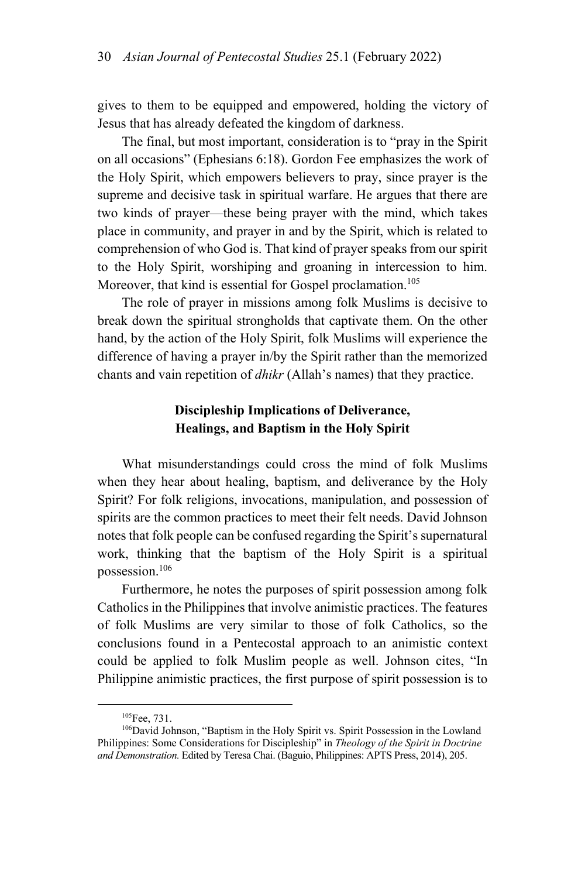gives to them to be equipped and empowered, holding the victory of Jesus that has already defeated the kingdom of darkness.

The final, but most important, consideration is to "pray in the Spirit on all occasions" (Ephesians 6:18). Gordon Fee emphasizes the work of the Holy Spirit, which empowers believers to pray, since prayer is the supreme and decisive task in spiritual warfare. He argues that there are two kinds of prayer—these being prayer with the mind, which takes place in community, and prayer in and by the Spirit, which is related to comprehension of who God is. That kind of prayer speaks from our spirit to the Holy Spirit, worshiping and groaning in intercession to him. Moreover, that kind is essential for Gospel proclamation.<sup>105</sup>

The role of prayer in missions among folk Muslims is decisive to break down the spiritual strongholds that captivate them. On the other hand, by the action of the Holy Spirit, folk Muslims will experience the difference of having a prayer in/by the Spirit rather than the memorized chants and vain repetition of *dhikr* (Allah's names) that they practice.

# **Discipleship Implications of Deliverance, Healings, and Baptism in the Holy Spirit**

What misunderstandings could cross the mind of folk Muslims when they hear about healing, baptism, and deliverance by the Holy Spirit? For folk religions, invocations, manipulation, and possession of spirits are the common practices to meet their felt needs. David Johnson notes that folk people can be confused regarding the Spirit's supernatural work, thinking that the baptism of the Holy Spirit is a spiritual possession.106

Furthermore, he notes the purposes of spirit possession among folk Catholics in the Philippines that involve animistic practices. The features of folk Muslims are very similar to those of folk Catholics, so the conclusions found in a Pentecostal approach to an animistic context could be applied to folk Muslim people as well. Johnson cites, "In Philippine animistic practices, the first purpose of spirit possession is to

<sup>&</sup>lt;sup>105</sup>Fee, 731.<br><sup>106</sup>David Johnson, "Baptism in the Holy Spirit vs. Spirit Possession in the Lowland Philippines: Some Considerations for Discipleship" in *Theology of the Spirit in Doctrine and Demonstration.* Edited by Teresa Chai. (Baguio, Philippines: APTS Press, 2014), 205.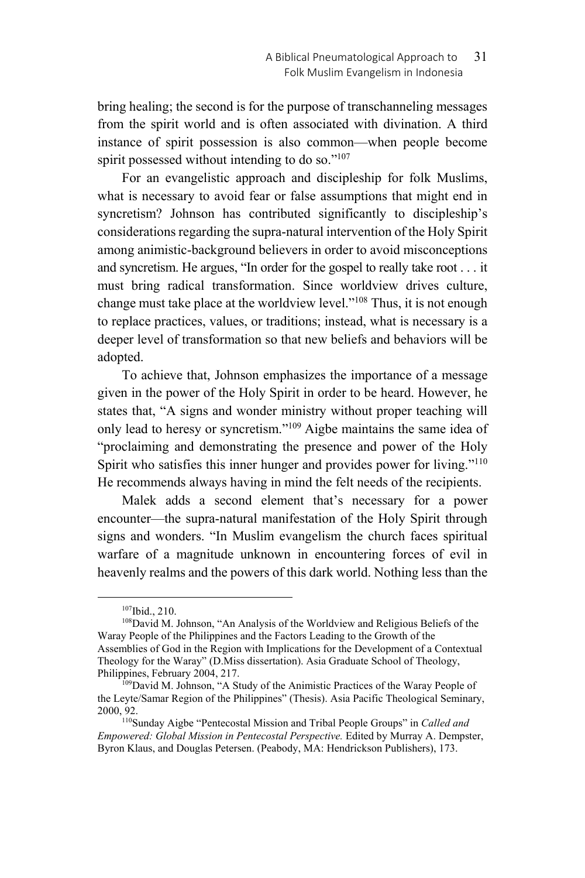bring healing; the second is for the purpose of transchanneling messages from the spirit world and is often associated with divination. A third instance of spirit possession is also common—when people become spirit possessed without intending to do so."<sup>107</sup>

For an evangelistic approach and discipleship for folk Muslims, what is necessary to avoid fear or false assumptions that might end in syncretism? Johnson has contributed significantly to discipleship's considerations regarding the supra-natural intervention of the Holy Spirit among animistic-background believers in order to avoid misconceptions and syncretism. He argues, "In order for the gospel to really take root . . . it must bring radical transformation. Since worldview drives culture, change must take place at the worldview level."<sup>108</sup> Thus, it is not enough to replace practices, values, or traditions; instead, what is necessary is a deeper level of transformation so that new beliefs and behaviors will be adopted.

To achieve that, Johnson emphasizes the importance of a message given in the power of the Holy Spirit in order to be heard. However, he states that, "A signs and wonder ministry without proper teaching will only lead to heresy or syncretism."<sup>109</sup> Aigbe maintains the same idea of "proclaiming and demonstrating the presence and power of the Holy Spirit who satisfies this inner hunger and provides power for living."<sup>110</sup> He recommends always having in mind the felt needs of the recipients.

Malek adds a second element that's necessary for a power encounter—the supra-natural manifestation of the Holy Spirit through signs and wonders. "In Muslim evangelism the church faces spiritual warfare of a magnitude unknown in encountering forces of evil in heavenly realms and the powers of this dark world. Nothing less than the

 $107$ Ibid., 210.<br> $108$ David M. Johnson, "An Analysis of the Worldview and Religious Beliefs of the Waray People of the Philippines and the Factors Leading to the Growth of the Assemblies of God in the Region with Implications for the Development of a Contextual Theology for the Waray" (D.Miss dissertation). Asia Graduate School of Theology, Philippines, February 2004, 217.<br><sup>109</sup>David M. Johnson, "A Study of the Animistic Practices of the Waray People of

the Leyte/Samar Region of the Philippines" (Thesis). Asia Pacific Theological Seminary, 2000, 92. 110Sunday Aigbe "Pentecostal Mission and Tribal People Groups" in *Called and* 

*Empowered: Global Mission in Pentecostal Perspective.* Edited by Murray A. Dempster, Byron Klaus, and Douglas Petersen. (Peabody, MA: Hendrickson Publishers), 173.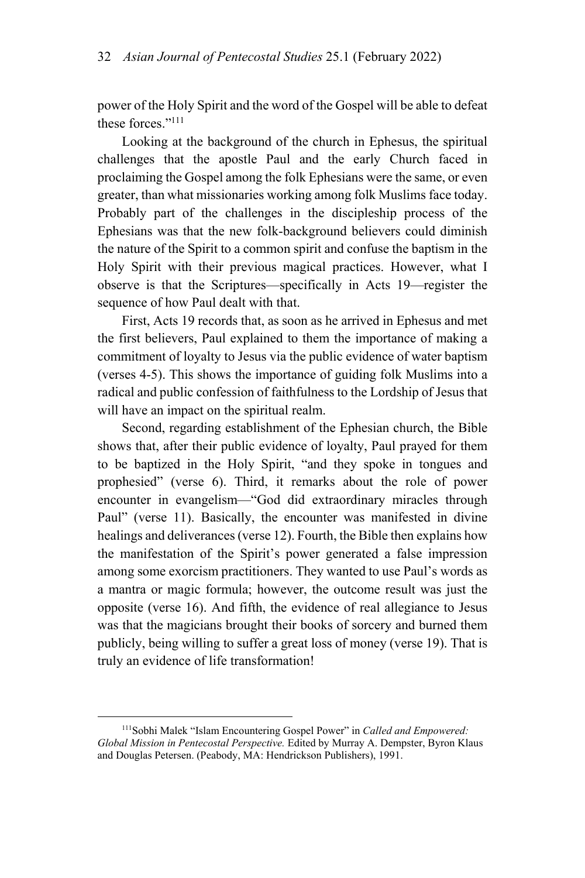power of the Holy Spirit and the word of the Gospel will be able to defeat these forces."111

Looking at the background of the church in Ephesus, the spiritual challenges that the apostle Paul and the early Church faced in proclaiming the Gospel among the folk Ephesians were the same, or even greater, than what missionaries working among folk Muslims face today. Probably part of the challenges in the discipleship process of the Ephesians was that the new folk-background believers could diminish the nature of the Spirit to a common spirit and confuse the baptism in the Holy Spirit with their previous magical practices. However, what I observe is that the Scriptures—specifically in Acts 19—register the sequence of how Paul dealt with that.

First, Acts 19 records that, as soon as he arrived in Ephesus and met the first believers, Paul explained to them the importance of making a commitment of loyalty to Jesus via the public evidence of water baptism (verses 4-5). This shows the importance of guiding folk Muslims into a radical and public confession of faithfulness to the Lordship of Jesus that will have an impact on the spiritual realm.

Second, regarding establishment of the Ephesian church, the Bible shows that, after their public evidence of loyalty, Paul prayed for them to be baptized in the Holy Spirit, "and they spoke in tongues and prophesied" (verse 6). Third, it remarks about the role of power encounter in evangelism—"God did extraordinary miracles through Paul" (verse 11). Basically, the encounter was manifested in divine healings and deliverances (verse 12). Fourth, the Bible then explains how the manifestation of the Spirit's power generated a false impression among some exorcism practitioners. They wanted to use Paul's words as a mantra or magic formula; however, the outcome result was just the opposite (verse 16). And fifth, the evidence of real allegiance to Jesus was that the magicians brought their books of sorcery and burned them publicly, being willing to suffer a great loss of money (verse 19). That is truly an evidence of life transformation!

 <sup>111</sup>Sobhi Malek "Islam Encountering Gospel Power" in *Called and Empowered: Global Mission in Pentecostal Perspective.* Edited by Murray A. Dempster, Byron Klaus and Douglas Petersen. (Peabody, MA: Hendrickson Publishers), 1991.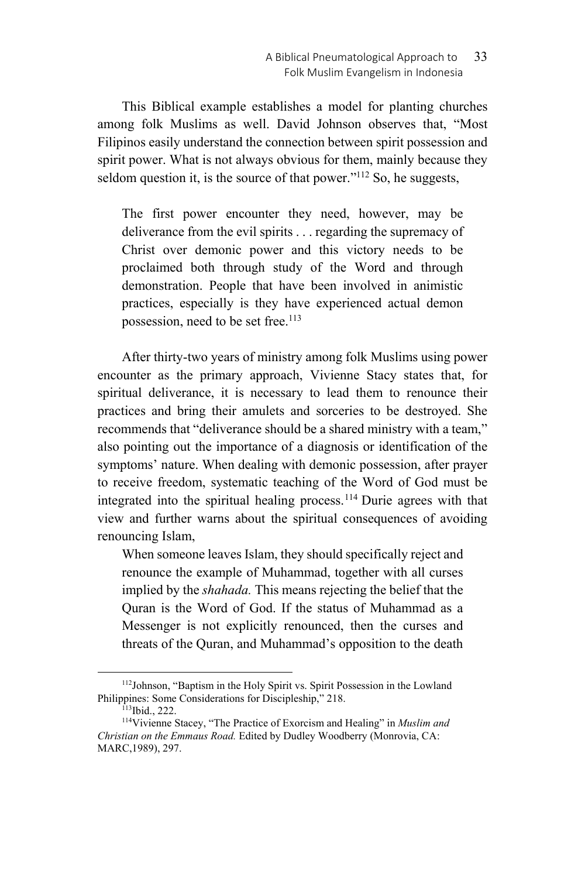This Biblical example establishes a model for planting churches among folk Muslims as well. David Johnson observes that, "Most Filipinos easily understand the connection between spirit possession and spirit power. What is not always obvious for them, mainly because they seldom question it, is the source of that power."<sup>112</sup> So, he suggests,

The first power encounter they need, however, may be deliverance from the evil spirits . . . regarding the supremacy of Christ over demonic power and this victory needs to be proclaimed both through study of the Word and through demonstration. People that have been involved in animistic practices, especially is they have experienced actual demon possession, need to be set free.<sup>113</sup>

After thirty-two years of ministry among folk Muslims using power encounter as the primary approach, Vivienne Stacy states that, for spiritual deliverance, it is necessary to lead them to renounce their practices and bring their amulets and sorceries to be destroyed. She recommends that "deliverance should be a shared ministry with a team," also pointing out the importance of a diagnosis or identification of the symptoms' nature. When dealing with demonic possession, after prayer to receive freedom, systematic teaching of the Word of God must be integrated into the spiritual healing process.114 Durie agrees with that view and further warns about the spiritual consequences of avoiding renouncing Islam,

When someone leaves Islam, they should specifically reject and renounce the example of Muhammad, together with all curses implied by the *shahada.* This means rejecting the belief that the Quran is the Word of God. If the status of Muhammad as a Messenger is not explicitly renounced, then the curses and threats of the Quran, and Muhammad's opposition to the death

 <sup>112</sup>Johnson, "Baptism in the Holy Spirit vs. Spirit Possession in the Lowland Philippines: Some Considerations for Discipleship," 218.<br><sup>113</sup>Ibid., 222.<br><sup>114</sup>Vivienne Stacey, "The Practice of Exorcism and Healing" in *Muslim and* 

*Christian on the Emmaus Road.* Edited by Dudley Woodberry (Monrovia, CA: MARC,1989), 297.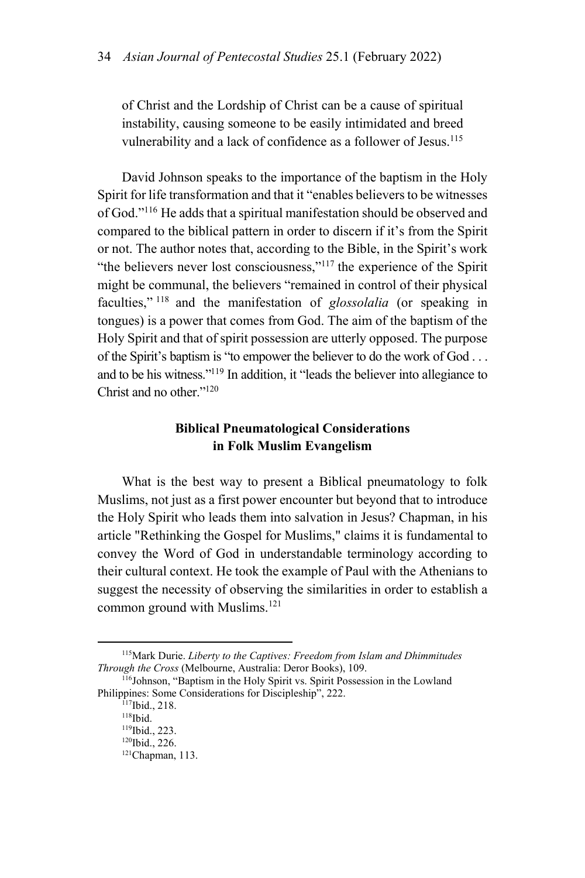of Christ and the Lordship of Christ can be a cause of spiritual instability, causing someone to be easily intimidated and breed vulnerability and a lack of confidence as a follower of Jesus.<sup>115</sup>

David Johnson speaks to the importance of the baptism in the Holy Spirit for life transformation and that it "enables believers to be witnesses of God."116 He adds that a spiritual manifestation should be observed and compared to the biblical pattern in order to discern if it's from the Spirit or not. The author notes that, according to the Bible, in the Spirit's work "the believers never lost consciousness,"<sup>117</sup> the experience of the Spirit might be communal, the believers "remained in control of their physical faculties," 118 and the manifestation of *glossolalia* (or speaking in tongues) is a power that comes from God. The aim of the baptism of the Holy Spirit and that of spirit possession are utterly opposed. The purpose of the Spirit's baptism is "to empower the believer to do the work of God . . . and to be his witness."119 In addition, it "leads the believer into allegiance to Christ and no other $120$ 

## **Biblical Pneumatological Considerations in Folk Muslim Evangelism**

What is the best way to present a Biblical pneumatology to folk Muslims, not just as a first power encounter but beyond that to introduce the Holy Spirit who leads them into salvation in Jesus? Chapman, in his article "Rethinking the Gospel for Muslims," claims it is fundamental to convey the Word of God in understandable terminology according to their cultural context. He took the example of Paul with the Athenians to suggest the necessity of observing the similarities in order to establish a common ground with Muslims.<sup>121</sup>

<sup>&</sup>lt;sup>115</sup>Mark Durie. *Liberty to the Captives: Freedom from Islam and Dhimmitudes Through the Cross* (Melbourne, Australia: Deror Books), 109.

<sup>&</sup>lt;sup>116</sup>Johnson, "Baptism in the Holy Spirit vs. Spirit Possession in the Lowland Philippines: Some Considerations for Discipleship", 222.<br>
<sup>117</sup>Ibid., 218.<br>
<sup>118</sup>Ibid., 223.<br>
<sup>120</sup>Ibid., 226.<br>
<sup>121</sup>Chapman, 113.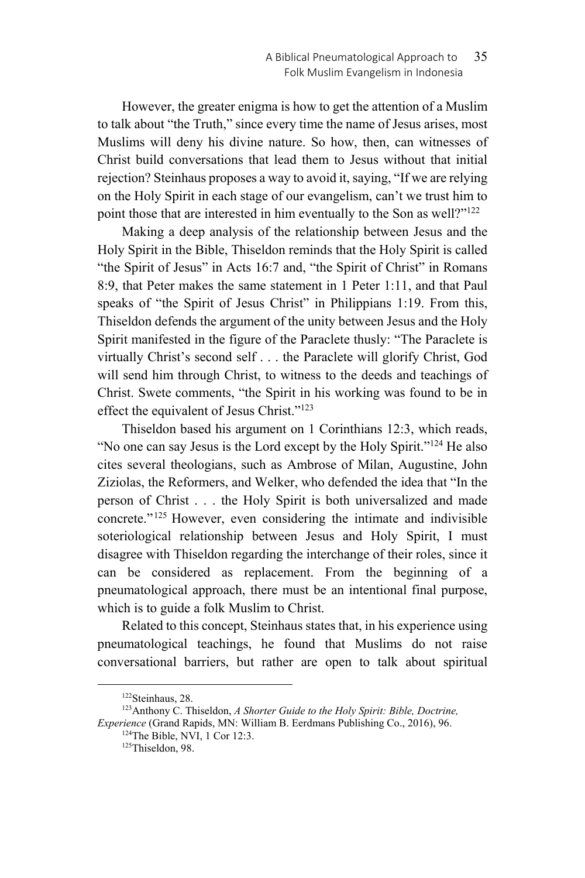However, the greater enigma is how to get the attention of a Muslim to talk about "the Truth," since every time the name of Jesus arises, most Muslims will deny his divine nature. So how, then, can witnesses of Christ build conversations that lead them to Jesus without that initial rejection? Steinhaus proposes a way to avoid it, saying, "If we are relying on the Holy Spirit in each stage of our evangelism, can't we trust him to point those that are interested in him eventually to the Son as well?"<sup>122</sup>

Making a deep analysis of the relationship between Jesus and the Holy Spirit in the Bible, Thiseldon reminds that the Holy Spirit is called "the Spirit of Jesus" in Acts 16:7 and, "the Spirit of Christ" in Romans 8:9, that Peter makes the same statement in 1 Peter 1:11, and that Paul speaks of "the Spirit of Jesus Christ" in Philippians 1:19. From this, Thiseldon defends the argument of the unity between Jesus and the Holy Spirit manifested in the figure of the Paraclete thusly: "The Paraclete is virtually Christ's second self . . . the Paraclete will glorify Christ, God will send him through Christ, to witness to the deeds and teachings of Christ. Swete comments, "the Spirit in his working was found to be in effect the equivalent of Jesus Christ."123

Thiseldon based his argument on 1 Corinthians 12:3, which reads, "No one can say Jesus is the Lord except by the Holy Spirit."<sup>124</sup> He also cites several theologians, such as Ambrose of Milan, Augustine, John Ziziolas, the Reformers, and Welker, who defended the idea that "In the person of Christ . . . the Holy Spirit is both universalized and made concrete."125 However, even considering the intimate and indivisible soteriological relationship between Jesus and Holy Spirit, I must disagree with Thiseldon regarding the interchange of their roles, since it can be considered as replacement. From the beginning of a pneumatological approach, there must be an intentional final purpose, which is to guide a folk Muslim to Christ.

Related to this concept, Steinhaus states that, in his experience using pneumatological teachings, he found that Muslims do not raise conversational barriers, but rather are open to talk about spiritual

<sup>&</sup>lt;sup>122</sup>Steinhaus, 28.<br><sup>123</sup>Anthony C. Thiseldon, *A Shorter Guide to the Holy Spirit: Bible, Doctrine, Experience* (Grand Rapids, MN: William B. Eerdmans Publishing Co., 2016), 96.<br><sup>124</sup>The Bible, NVI, 1 Cor 12:3.<br><sup>125</sup>Thiseldon, 98.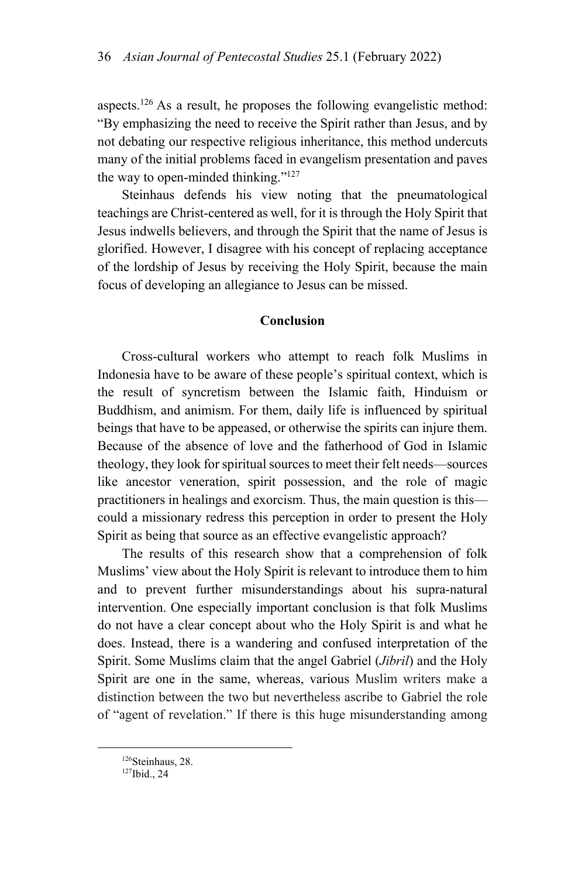aspects.126 As a result, he proposes the following evangelistic method: "By emphasizing the need to receive the Spirit rather than Jesus, and by not debating our respective religious inheritance, this method undercuts many of the initial problems faced in evangelism presentation and paves the way to open-minded thinking." $127$ 

Steinhaus defends his view noting that the pneumatological teachings are Christ-centered as well, for it is through the Holy Spirit that Jesus indwells believers, and through the Spirit that the name of Jesus is glorified. However, I disagree with his concept of replacing acceptance of the lordship of Jesus by receiving the Holy Spirit, because the main focus of developing an allegiance to Jesus can be missed.

### **Conclusion**

Cross-cultural workers who attempt to reach folk Muslims in Indonesia have to be aware of these people's spiritual context, which is the result of syncretism between the Islamic faith, Hinduism or Buddhism, and animism. For them, daily life is influenced by spiritual beings that have to be appeased, or otherwise the spirits can injure them. Because of the absence of love and the fatherhood of God in Islamic theology, they look for spiritual sources to meet their felt needs—sources like ancestor veneration, spirit possession, and the role of magic practitioners in healings and exorcism. Thus, the main question is this could a missionary redress this perception in order to present the Holy Spirit as being that source as an effective evangelistic approach?

The results of this research show that a comprehension of folk Muslims' view about the Holy Spirit is relevant to introduce them to him and to prevent further misunderstandings about his supra-natural intervention. One especially important conclusion is that folk Muslims do not have a clear concept about who the Holy Spirit is and what he does. Instead, there is a wandering and confused interpretation of the Spirit. Some Muslims claim that the angel Gabriel (*Jibril*) and the Holy Spirit are one in the same, whereas, various Muslim writers make a distinction between the two but nevertheless ascribe to Gabriel the role of "agent of revelation." If there is this huge misunderstanding among

<sup>&</sup>lt;sup>126</sup>Steinhaus, 28.<br><sup>127</sup>Ibid., 24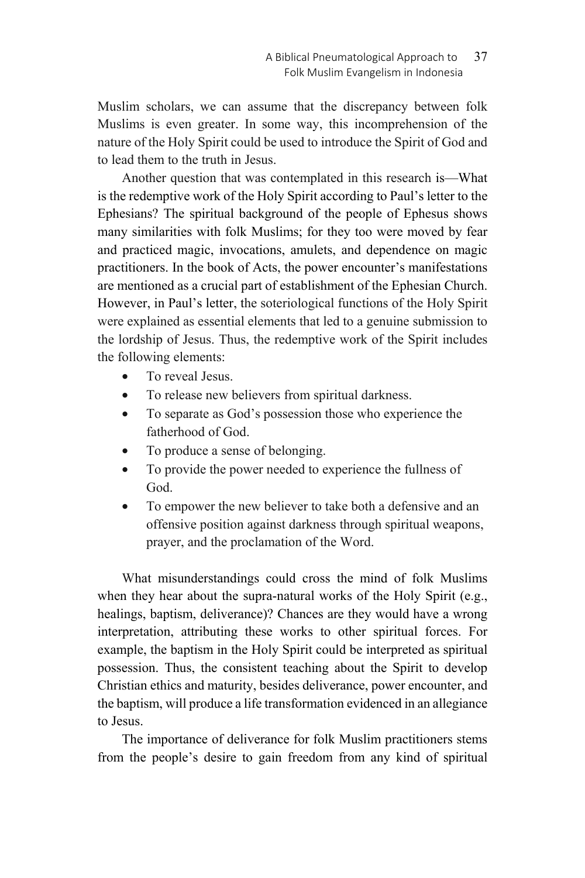Muslim scholars, we can assume that the discrepancy between folk Muslims is even greater. In some way, this incomprehension of the nature of the Holy Spirit could be used to introduce the Spirit of God and to lead them to the truth in Jesus.

Another question that was contemplated in this research is—What is the redemptive work of the Holy Spirit according to Paul's letter to the Ephesians? The spiritual background of the people of Ephesus shows many similarities with folk Muslims; for they too were moved by fear and practiced magic, invocations, amulets, and dependence on magic practitioners. In the book of Acts, the power encounter's manifestations are mentioned as a crucial part of establishment of the Ephesian Church. However, in Paul's letter, the soteriological functions of the Holy Spirit were explained as essential elements that led to a genuine submission to the lordship of Jesus. Thus, the redemptive work of the Spirit includes the following elements:

- To reveal Jesus.
- To release new believers from spiritual darkness.
- To separate as God's possession those who experience the fatherhood of God.
- To produce a sense of belonging.
- To provide the power needed to experience the fullness of God.
- To empower the new believer to take both a defensive and an offensive position against darkness through spiritual weapons, prayer, and the proclamation of the Word.

What misunderstandings could cross the mind of folk Muslims when they hear about the supra-natural works of the Holy Spirit (e.g., healings, baptism, deliverance)? Chances are they would have a wrong interpretation, attributing these works to other spiritual forces. For example, the baptism in the Holy Spirit could be interpreted as spiritual possession. Thus, the consistent teaching about the Spirit to develop Christian ethics and maturity, besides deliverance, power encounter, and the baptism, will produce a life transformation evidenced in an allegiance to Jesus.

The importance of deliverance for folk Muslim practitioners stems from the people's desire to gain freedom from any kind of spiritual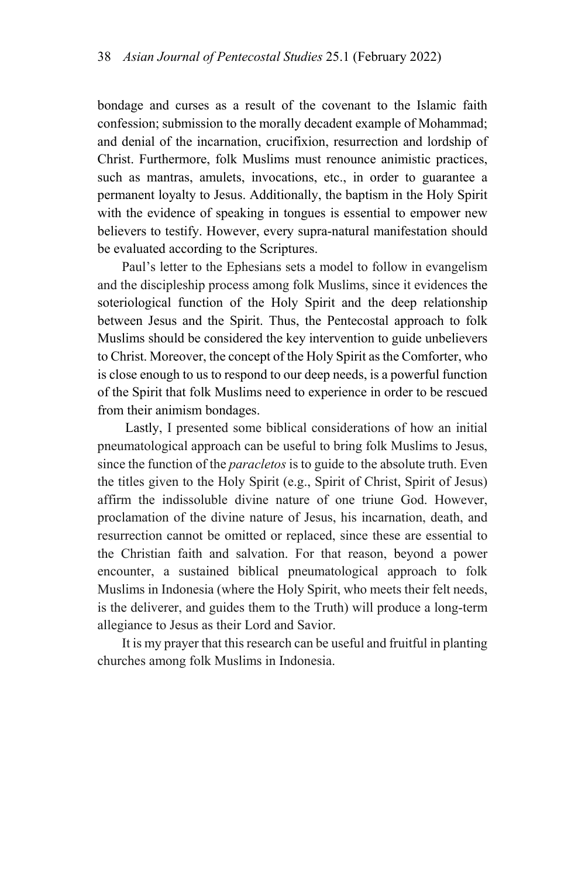bondage and curses as a result of the covenant to the Islamic faith confession; submission to the morally decadent example of Mohammad; and denial of the incarnation, crucifixion, resurrection and lordship of Christ. Furthermore, folk Muslims must renounce animistic practices, such as mantras, amulets, invocations, etc., in order to guarantee a permanent loyalty to Jesus. Additionally, the baptism in the Holy Spirit with the evidence of speaking in tongues is essential to empower new believers to testify. However, every supra-natural manifestation should be evaluated according to the Scriptures.

Paul's letter to the Ephesians sets a model to follow in evangelism and the discipleship process among folk Muslims, since it evidences the soteriological function of the Holy Spirit and the deep relationship between Jesus and the Spirit. Thus, the Pentecostal approach to folk Muslims should be considered the key intervention to guide unbelievers to Christ. Moreover, the concept of the Holy Spirit as the Comforter, who is close enough to us to respond to our deep needs, is a powerful function of the Spirit that folk Muslims need to experience in order to be rescued from their animism bondages.

 Lastly, I presented some biblical considerations of how an initial pneumatological approach can be useful to bring folk Muslims to Jesus, since the function of the *paracletos* is to guide to the absolute truth. Even the titles given to the Holy Spirit (e.g., Spirit of Christ, Spirit of Jesus) affirm the indissoluble divine nature of one triune God. However, proclamation of the divine nature of Jesus, his incarnation, death, and resurrection cannot be omitted or replaced, since these are essential to the Christian faith and salvation. For that reason, beyond a power encounter, a sustained biblical pneumatological approach to folk Muslims in Indonesia (where the Holy Spirit, who meets their felt needs, is the deliverer, and guides them to the Truth) will produce a long-term allegiance to Jesus as their Lord and Savior.

It is my prayer that this research can be useful and fruitful in planting churches among folk Muslims in Indonesia.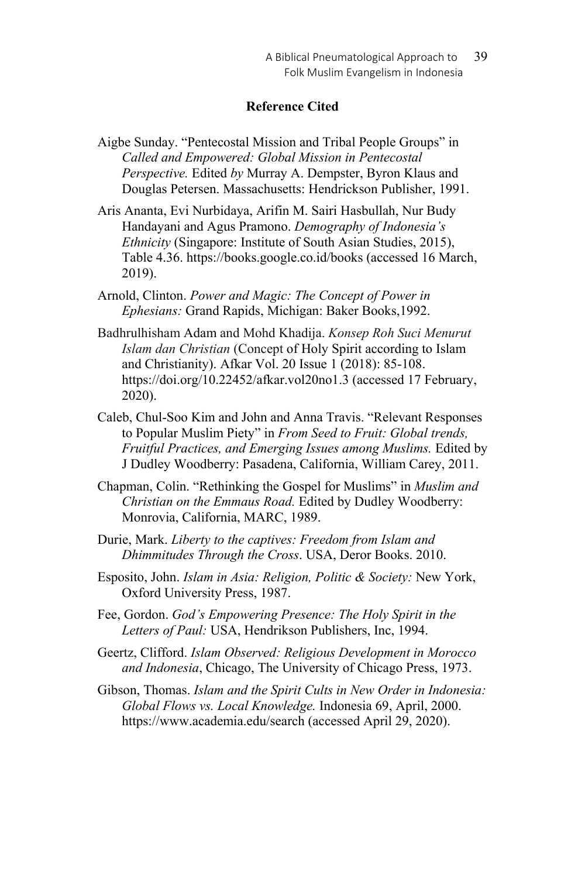## **Reference Cited**

- Aigbe Sunday. "Pentecostal Mission and Tribal People Groups" in *Called and Empowered: Global Mission in Pentecostal Perspective.* Edited *by* Murray A. Dempster, Byron Klaus and Douglas Petersen. Massachusetts: Hendrickson Publisher, 1991.
- Aris Ananta, Evi Nurbidaya, Arifin M. Sairi Hasbullah, Nur Budy Handayani and Agus Pramono. *Demography of Indonesia's Ethnicity* (Singapore: Institute of South Asian Studies, 2015), Table 4.36. https://books.google.co.id/books (accessed 16 March, 2019).
- Arnold, Clinton. *Power and Magic: The Concept of Power in Ephesians:* Grand Rapids, Michigan: Baker Books,1992.
- Badhrulhisham Adam and Mohd Khadija. *Konsep Roh Suci Menurut Islam dan Christian* (Concept of Holy Spirit according to Islam and Christianity). Afkar Vol. 20 Issue 1 (2018): 85-108. https://doi.org/10.22452/afkar.vol20no1.3 (accessed 17 February, 2020).
- Caleb, Chul-Soo Kim and John and Anna Travis. "Relevant Responses to Popular Muslim Piety" in *From Seed to Fruit: Global trends, Fruitful Practices, and Emerging Issues among Muslims.* Edited by J Dudley Woodberry: Pasadena, California, William Carey, 2011.
- Chapman, Colin. "Rethinking the Gospel for Muslims" in *Muslim and Christian on the Emmaus Road.* Edited by Dudley Woodberry: Monrovia, California, MARC, 1989.
- Durie, Mark. *Liberty to the captives: Freedom from Islam and Dhimmitudes Through the Cross*. USA, Deror Books. 2010.
- Esposito, John. *Islam in Asia: Religion, Politic & Society:* New York, Oxford University Press, 1987.
- Fee, Gordon. *God's Empowering Presence: The Holy Spirit in the Letters of Paul:* USA, Hendrikson Publishers, Inc, 1994.
- Geertz, Clifford. *Islam Observed: Religious Development in Morocco and Indonesia*, Chicago, The University of Chicago Press, 1973.
- Gibson, Thomas. *Islam and the Spirit Cults in New Order in Indonesia: Global Flows vs. Local Knowledge.* Indonesia 69, April, 2000. https://www.academia.edu/search (accessed April 29, 2020).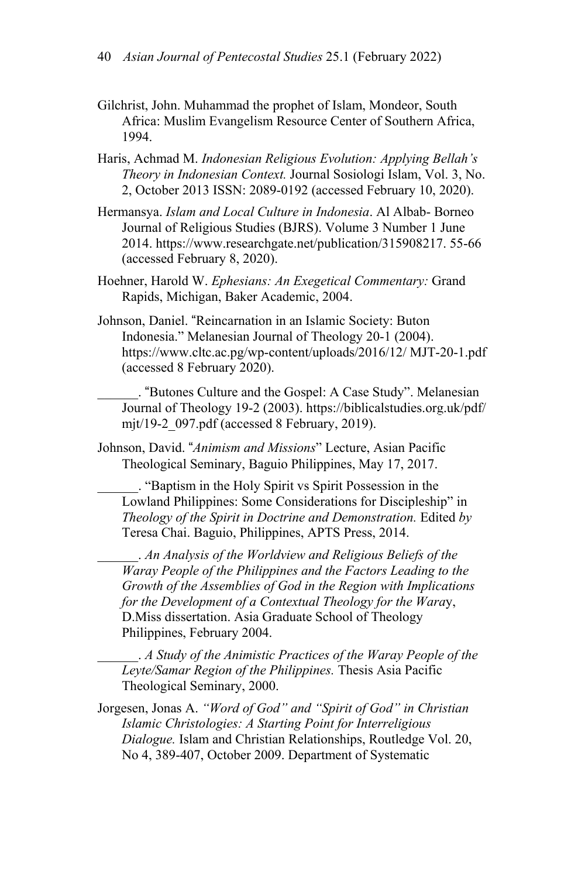- Gilchrist, John. Muhammad the prophet of Islam, Mondeor, South Africa: Muslim Evangelism Resource Center of Southern Africa, 1994.
- Haris, Achmad M. *Indonesian Religious Evolution: Applying Bellah's Theory in Indonesian Context.* Journal Sosiologi Islam, Vol. 3, No. 2, October 2013 ISSN: 2089-0192 (accessed February 10, 2020).
- Hermansya. *Islam and Local Culture in Indonesia*. Al Albab- Borneo Journal of Religious Studies (BJRS). Volume 3 Number 1 June 2014. https://www.researchgate.net/publication/315908217. 55-66 (accessed February 8, 2020).
- Hoehner, Harold W. *Ephesians: An Exegetical Commentary:* Grand Rapids, Michigan, Baker Academic, 2004.
- Johnson, Daniel. "Reincarnation in an Islamic Society: Buton Indonesia." Melanesian Journal of Theology 20-1 (2004). https://www.cltc.ac.pg/wp-content/uploads/2016/12/ MJT-20-1.pdf (accessed 8 February 2020).

\_\_\_\_\_\_. "Butones Culture and the Gospel: A Case Study". Melanesian Journal of Theology 19-2 (2003). https://biblicalstudies.org.uk/pdf/ mjt/19-2\_097.pdf (accessed 8 February, 2019).

Johnson, David. "*Animism and Missions*" Lecture, Asian Pacific Theological Seminary, Baguio Philippines, May 17, 2017.

\_\_\_\_\_\_. "Baptism in the Holy Spirit vs Spirit Possession in the Lowland Philippines: Some Considerations for Discipleship" in *Theology of the Spirit in Doctrine and Demonstration.* Edited *by* Teresa Chai. Baguio, Philippines, APTS Press, 2014.

\_\_\_\_\_\_. *An Analysis of the Worldview and Religious Beliefs of the Waray People of the Philippines and the Factors Leading to the Growth of the Assemblies of God in the Region with Implications for the Development of a Contextual Theology for the Wara*y, D.Miss dissertation. Asia Graduate School of Theology Philippines, February 2004.

\_\_\_\_\_\_. *A Study of the Animistic Practices of the Waray People of the Leyte/Samar Region of the Philippines.* Thesis Asia Pacific Theological Seminary, 2000.

Jorgesen, Jonas A. *"Word of God" and "Spirit of God" in Christian Islamic Christologies: A Starting Point for Interreligious Dialogue.* Islam and Christian Relationships, Routledge Vol. 20, No 4, 389-407, October 2009. Department of Systematic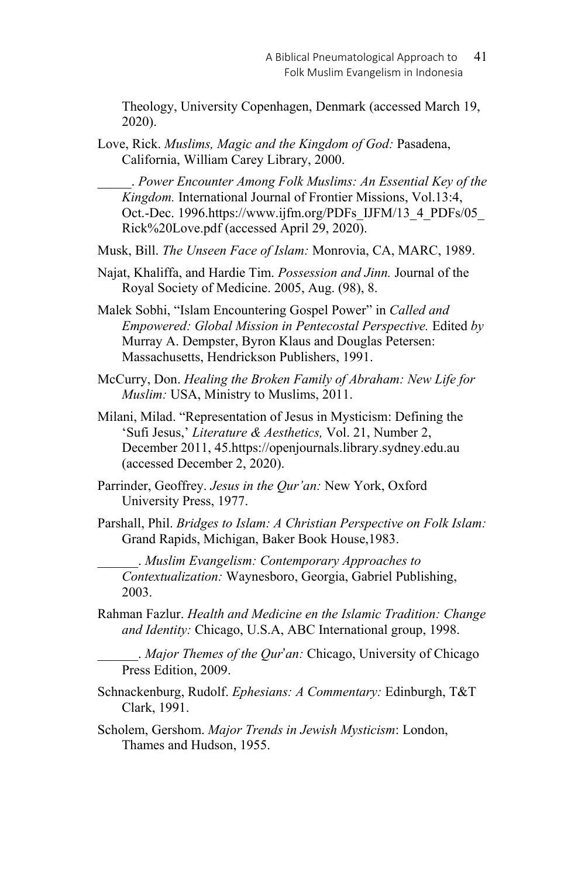Theology, University Copenhagen, Denmark (accessed March 19, 2020).

Love, Rick. *Muslims, Magic and the Kingdom of God:* Pasadena, California, William Carey Library, 2000.

\_\_\_\_\_. *Power Encounter Among Folk Muslims: An Essential Key of the Kingdom.* International Journal of Frontier Missions, Vol.13:4, Oct.-Dec. 1996.https://www.ijfm.org/PDFs\_IJFM/13\_4\_PDFs/05\_ Rick%20Love.pdf (accessed April 29, 2020).

Musk, Bill. *The Unseen Face of Islam:* Monrovia, CA, MARC, 1989.

- Najat, Khaliffa, and Hardie Tim. *Possession and Jinn.* Journal of the Royal Society of Medicine. 2005, Aug. (98), 8.
- Malek Sobhi, "Islam Encountering Gospel Power" in *Called and Empowered: Global Mission in Pentecostal Perspective.* Edited *by* Murray A. Dempster, Byron Klaus and Douglas Petersen: Massachusetts, Hendrickson Publishers, 1991.
- McCurry, Don. *Healing the Broken Family of Abraham: New Life for Muslim:* USA, Ministry to Muslims, 2011.
- Milani, Milad. "Representation of Jesus in Mysticism: Defining the 'Sufi Jesus,' *Literature & Aesthetics,* Vol. 21, Number 2, December 2011, 45.https://openjournals.library.sydney.edu.au (accessed December 2, 2020).
- Parrinder, Geoffrey. *Jesus in the Qur'an:* New York, Oxford University Press, 1977.
- Parshall, Phil. *Bridges to Islam: A Christian Perspective on Folk Islam:*  Grand Rapids, Michigan, Baker Book House,1983.

\_\_\_\_\_\_. *Muslim Evangelism: Contemporary Approaches to Contextualization:* Waynesboro, Georgia, Gabriel Publishing, 2003.

Rahman Fazlur. *Health and Medicine en the Islamic Tradition: Change and Identity:* Chicago, U.S.A, ABC International group, 1998.

\_\_\_\_\_\_. *Major Themes of the Qur*'*an:* Chicago, University of Chicago Press Edition, 2009.

Schnackenburg, Rudolf. *Ephesians: A Commentary:* Edinburgh, T&T Clark, 1991.

Scholem, Gershom. *Major Trends in Jewish Mysticism*: London, Thames and Hudson, 1955.